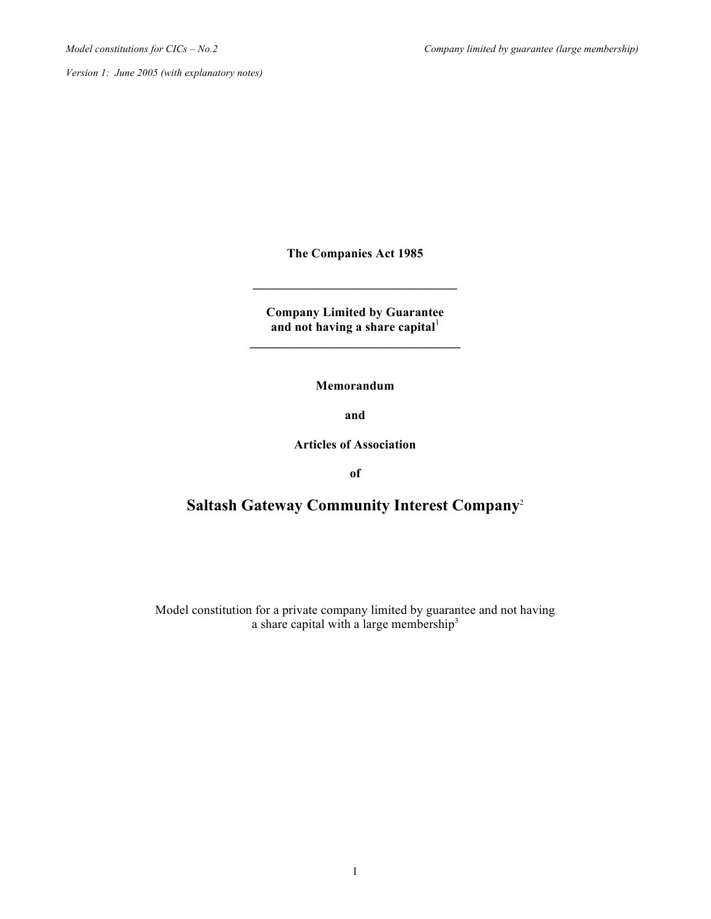**The Companies Act 1985**

**\_\_\_\_\_\_\_\_\_\_\_\_\_\_\_\_\_\_\_\_\_\_\_\_\_\_\_\_\_\_\_\_**

**Company Limited by Guarantee** and not having a share capital<sup>1</sup> **\_\_\_\_\_\_\_\_\_\_\_\_\_\_\_\_\_\_\_\_\_\_\_\_\_\_\_\_\_\_\_\_\_**

**Memorandum**

**and**

**Articles of Association**

**of**

# **Saltash Gateway Community Interest Company**<sup>2</sup>

Model constitution for a private company limited by guarantee and not having a share capital with a large membership<sup>3</sup>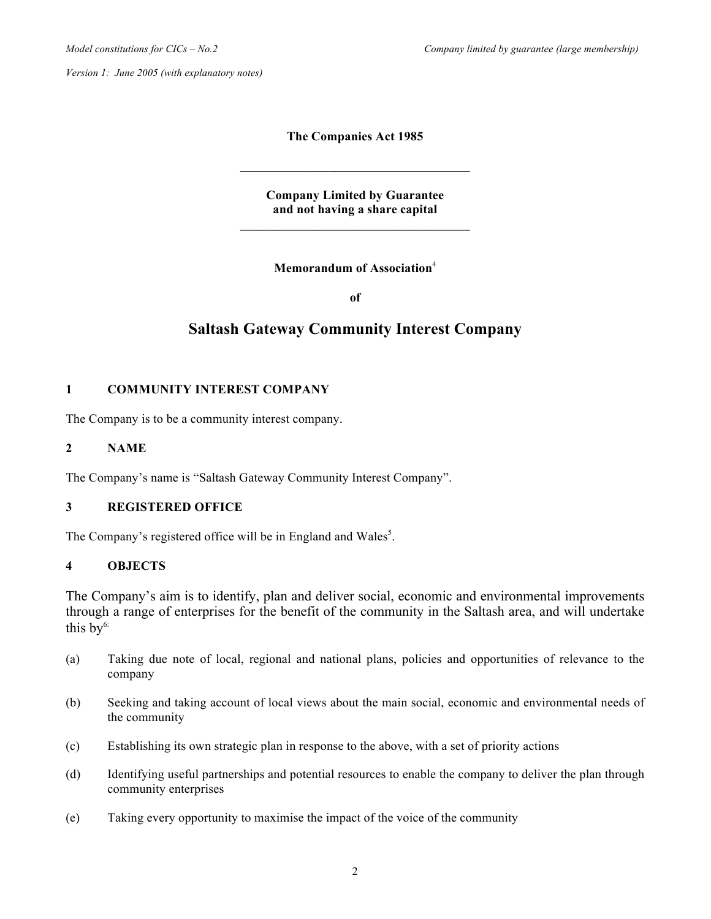**The Companies Act 1985**

**Company Limited by Guarantee and not having a share capital \_\_\_\_\_\_\_\_\_\_\_\_\_\_\_\_\_\_\_\_\_\_\_\_\_\_\_\_\_\_\_\_\_\_\_\_**

**\_\_\_\_\_\_\_\_\_\_\_\_\_\_\_\_\_\_\_\_\_\_\_\_\_\_\_\_\_\_\_\_\_\_\_\_**

**Memorandum of Association**<sup>4</sup>

**of**

# **Saltash Gateway Community Interest Company**

# **1 COMMUNITY INTEREST COMPANY**

The Company is to be a community interest company.

### **2 NAME**

The Company's name is "Saltash Gateway Community Interest Company".

## **3 REGISTERED OFFICE**

The Company's registered office will be in England and Wales<sup>5</sup>.

## **4 OBJECTS**

The Company's aim is to identify, plan and deliver social, economic and environmental improvements through a range of enterprises for the benefit of the community in the Saltash area, and will undertake this  $by<sup>6</sup>$ :

- (a) Taking due note of local, regional and national plans, policies and opportunities of relevance to the company
- (b) Seeking and taking account of local views about the main social, economic and environmental needs of the community
- (c) Establishing its own strategic plan in response to the above, with a set of priority actions
- (d) Identifying useful partnerships and potential resources to enable the company to deliver the plan through community enterprises
- (e) Taking every opportunity to maximise the impact of the voice of the community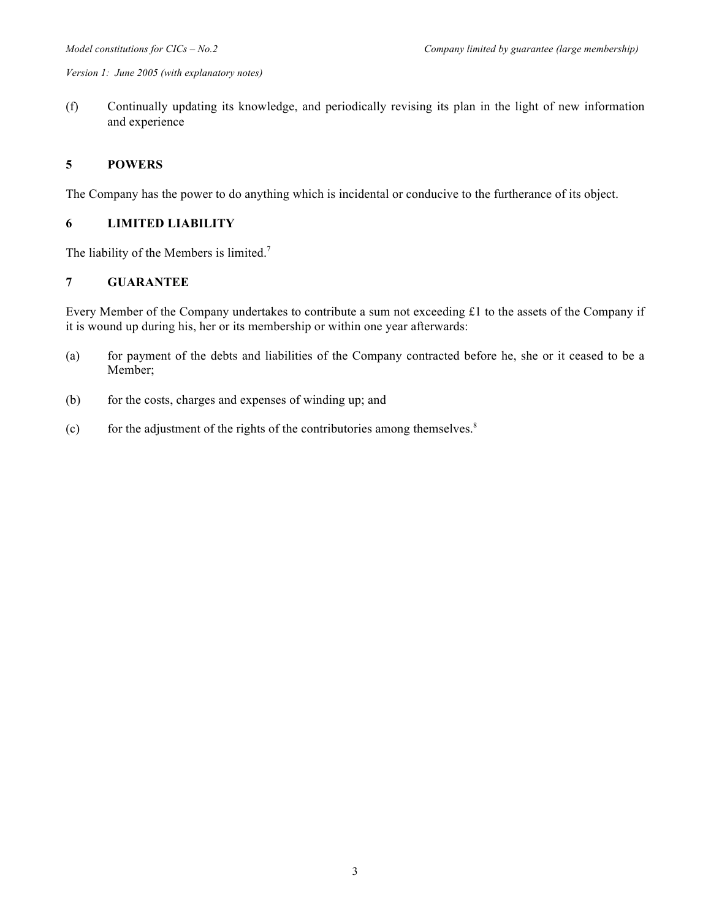(f) Continually updating its knowledge, and periodically revising its plan in the light of new information and experience

### **5 POWERS**

The Company has the power to do anything which is incidental or conducive to the furtherance of its object.

## **6 LIMITED LIABILITY**

The liability of the Members is limited.<sup>7</sup>

# **7 GUARANTEE**

Every Member of the Company undertakes to contribute a sum not exceeding £1 to the assets of the Company if it is wound up during his, her or its membership or within one year afterwards:

- (a) for payment of the debts and liabilities of the Company contracted before he, she or it ceased to be a Member;
- (b) for the costs, charges and expenses of winding up; and
- (c) for the adjustment of the rights of the contributories among themselves.<sup>8</sup>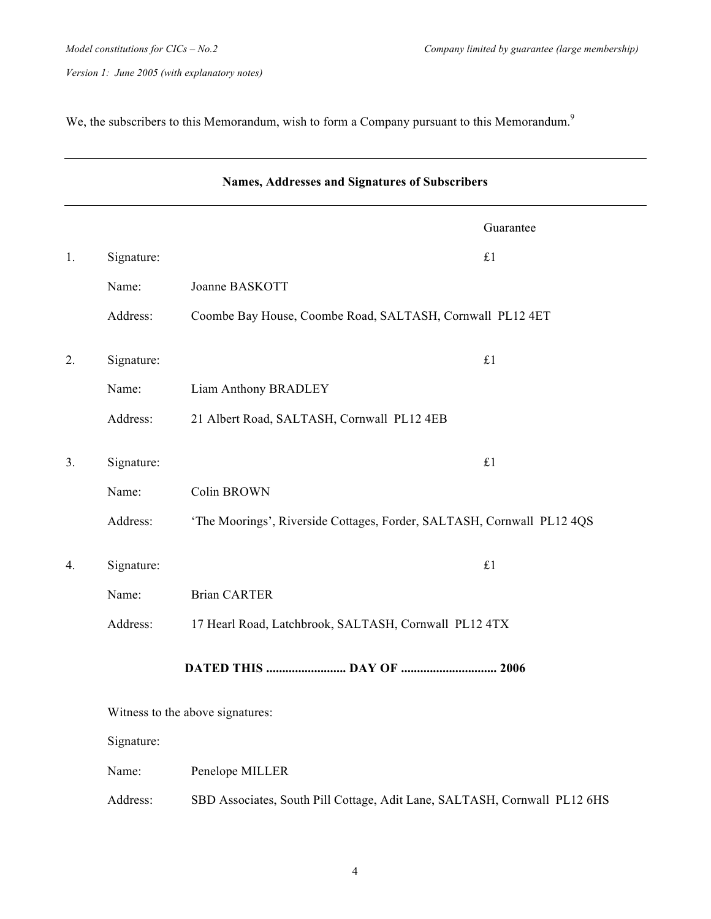We, the subscribers to this Memorandum, wish to form a Company pursuant to this Memorandum.<sup>9</sup>

|                | Names, Addresses and Signatures of Subscribers |                                                                           |             |
|----------------|------------------------------------------------|---------------------------------------------------------------------------|-------------|
|                |                                                |                                                                           | Guarantee   |
| 1.             | Signature:                                     |                                                                           | £1          |
|                | Name:                                          | Joanne BASKOTT                                                            |             |
|                | Address:                                       | Coombe Bay House, Coombe Road, SALTASH, Cornwall PL12 4ET                 |             |
| 2.             | Signature:                                     |                                                                           | $\pounds 1$ |
|                | Name:                                          | Liam Anthony BRADLEY                                                      |             |
|                | Address:                                       | 21 Albert Road, SALTASH, Cornwall PL12 4EB                                |             |
| 3 <sub>1</sub> | Signature:                                     |                                                                           | £1          |
|                | Name:                                          | Colin BROWN                                                               |             |
|                | Address:                                       | 'The Moorings', Riverside Cottages, Forder, SALTASH, Cornwall PL12 4QS    |             |
| 4.             | Signature:                                     |                                                                           | $\pounds 1$ |
|                | Name:                                          | <b>Brian CARTER</b>                                                       |             |
|                | Address:                                       | 17 Hearl Road, Latchbrook, SALTASH, Cornwall PL12 4TX                     |             |
|                |                                                |                                                                           |             |
|                |                                                | Witness to the above signatures:                                          |             |
|                | Signature:                                     |                                                                           |             |
|                | Name:                                          | Penelope MILLER                                                           |             |
|                | Address:                                       | SBD Associates, South Pill Cottage, Adit Lane, SALTASH, Cornwall PL12 6HS |             |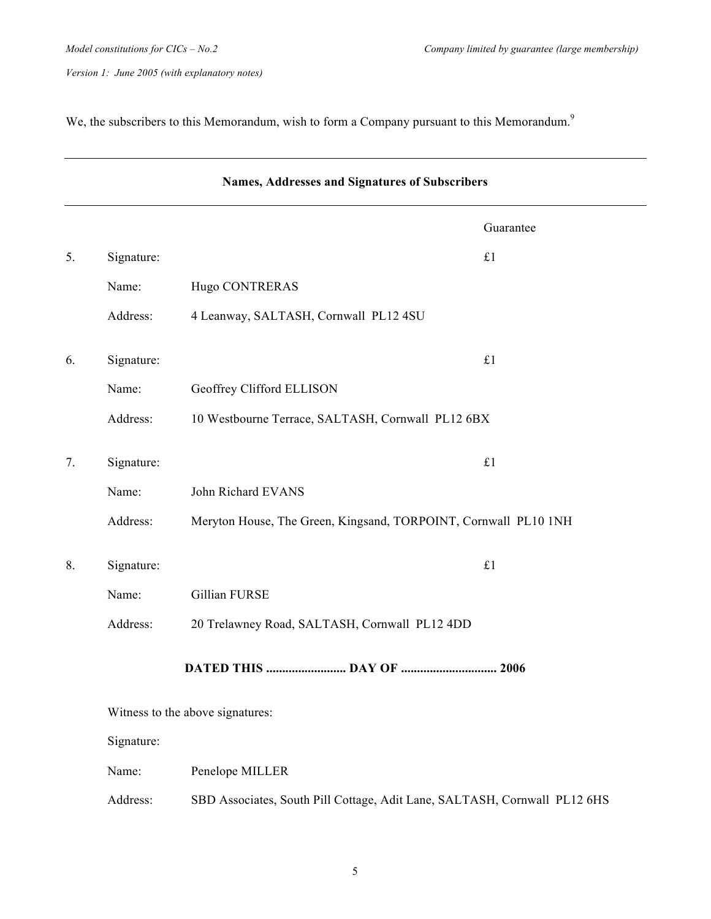We, the subscribers to this Memorandum, wish to form a Company pursuant to this Memorandum.<sup>9</sup>

|    | Names, Addresses and Signatures of Subscribers |                                                                           |  |
|----|------------------------------------------------|---------------------------------------------------------------------------|--|
|    |                                                | Guarantee                                                                 |  |
| 5. | Signature:                                     | £1                                                                        |  |
|    | Name:                                          | Hugo CONTRERAS                                                            |  |
|    | Address:                                       | 4 Leanway, SALTASH, Cornwall PL12 4SU                                     |  |
| 6. | Signature:                                     | £1                                                                        |  |
|    | Name:                                          | Geoffrey Clifford ELLISON                                                 |  |
|    | Address:                                       | 10 Westbourne Terrace, SALTASH, Cornwall PL12 6BX                         |  |
| 7. | Signature:                                     | £1                                                                        |  |
|    | Name:                                          | John Richard EVANS                                                        |  |
|    | Address:                                       | Meryton House, The Green, Kingsand, TORPOINT, Cornwall PL10 1NH           |  |
| 8. | Signature:                                     | £1                                                                        |  |
|    | Name:                                          | Gillian FURSE                                                             |  |
|    | Address:                                       | 20 Trelawney Road, SALTASH, Cornwall PL12 4DD                             |  |
|    |                                                | DATED THIS  DAY OF  2006                                                  |  |
|    |                                                | Witness to the above signatures:                                          |  |
|    | Signature:                                     |                                                                           |  |
|    | Name:                                          | Penelope MILLER                                                           |  |
|    | Address:                                       | SBD Associates, South Pill Cottage, Adit Lane, SALTASH, Cornwall PL12 6HS |  |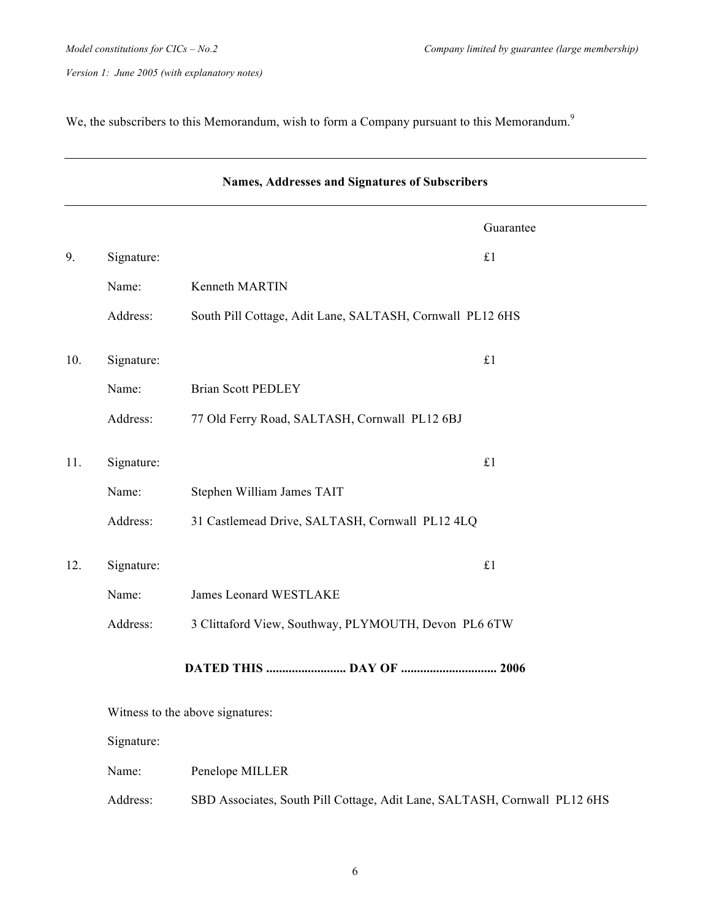We, the subscribers to this Memorandum, wish to form a Company pursuant to this Memorandum.<sup>9</sup>

|     | Names, Addresses and Signatures of Subscribers |                                                                           |           |
|-----|------------------------------------------------|---------------------------------------------------------------------------|-----------|
|     |                                                |                                                                           | Guarantee |
| 9.  | Signature:                                     | £1                                                                        |           |
|     | Name:                                          | Kenneth MARTIN                                                            |           |
|     | Address:                                       | South Pill Cottage, Adit Lane, SALTASH, Cornwall PL12 6HS                 |           |
| 10. | Signature:                                     | £1                                                                        |           |
|     | Name:                                          | <b>Brian Scott PEDLEY</b>                                                 |           |
|     | Address:                                       | 77 Old Ferry Road, SALTASH, Cornwall PL12 6BJ                             |           |
| 11. | Signature:                                     | £1                                                                        |           |
|     | Name:                                          | Stephen William James TAIT                                                |           |
|     | Address:                                       | 31 Castlemead Drive, SALTASH, Cornwall PL12 4LQ                           |           |
| 12. | Signature:                                     | £1                                                                        |           |
|     | Name:                                          | James Leonard WESTLAKE                                                    |           |
|     | Address:                                       | 3 Clittaford View, Southway, PLYMOUTH, Devon PL6 6TW                      |           |
|     |                                                |                                                                           |           |
|     |                                                | Witness to the above signatures:                                          |           |
|     | Signature:                                     |                                                                           |           |
|     | Name:                                          | Penelope MILLER                                                           |           |
|     | Address:                                       | SBD Associates, South Pill Cottage, Adit Lane, SALTASH, Cornwall PL12 6HS |           |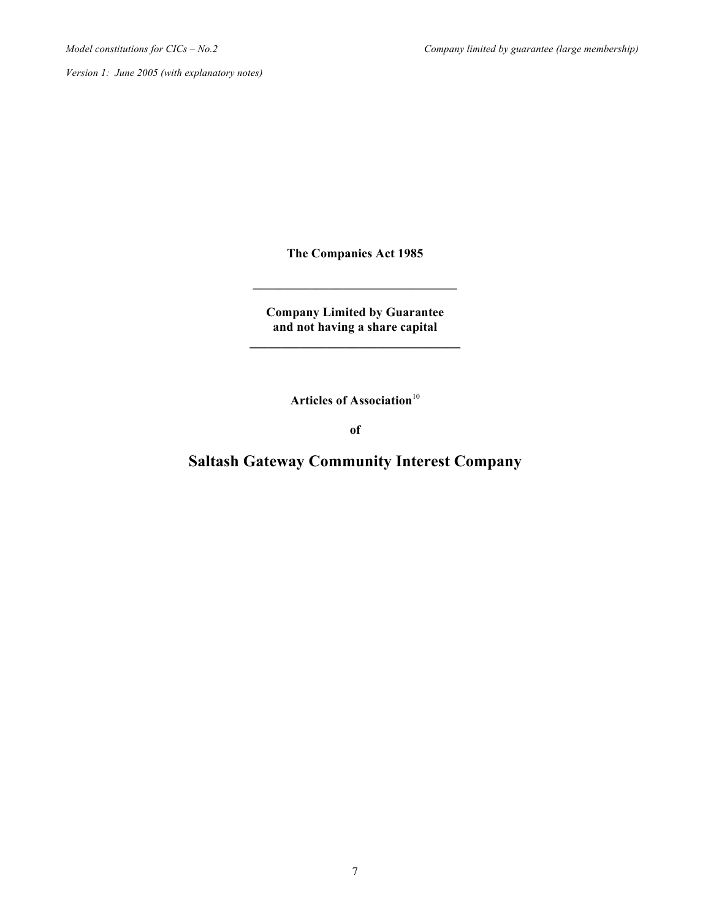**The Companies Act 1985**

**\_\_\_\_\_\_\_\_\_\_\_\_\_\_\_\_\_\_\_\_\_\_\_\_\_\_\_\_\_\_\_\_**

**Company Limited by Guarantee and not having a share capital \_\_\_\_\_\_\_\_\_\_\_\_\_\_\_\_\_\_\_\_\_\_\_\_\_\_\_\_\_\_\_\_\_**

Articles of Association<sup>10</sup>

**of**

**Saltash Gateway Community Interest Company**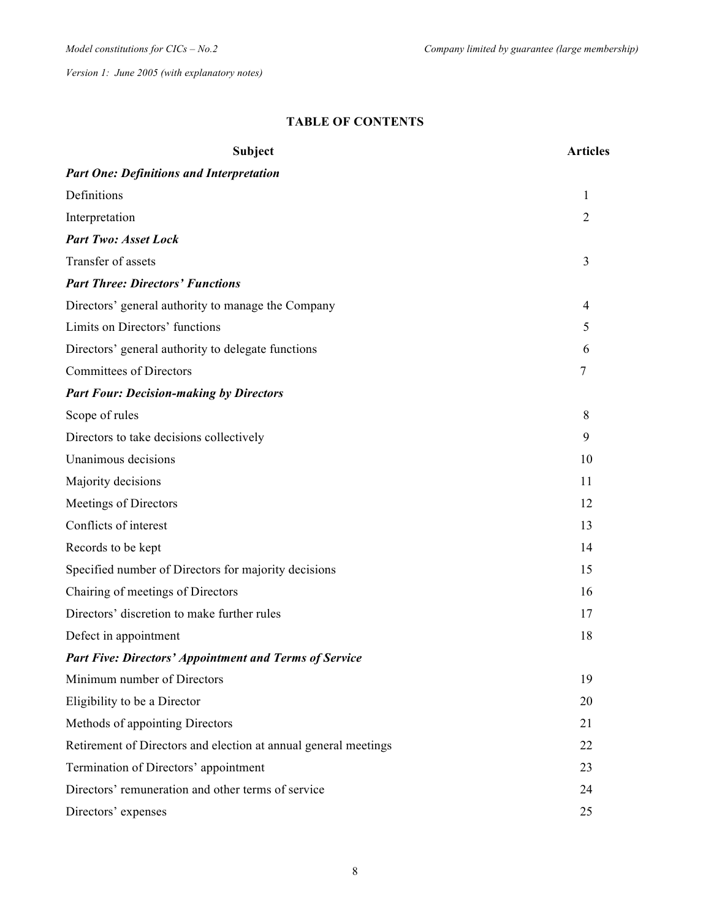## **TABLE OF CONTENTS**

| <b>Subject</b>                                                  | <b>Articles</b> |  |
|-----------------------------------------------------------------|-----------------|--|
| <b>Part One: Definitions and Interpretation</b>                 |                 |  |
| Definitions                                                     | 1               |  |
| Interpretation                                                  | $\overline{2}$  |  |
| <b>Part Two: Asset Lock</b>                                     |                 |  |
| Transfer of assets                                              | 3               |  |
| <b>Part Three: Directors' Functions</b>                         |                 |  |
| Directors' general authority to manage the Company              | 4               |  |
| Limits on Directors' functions                                  | 5               |  |
| Directors' general authority to delegate functions              | 6               |  |
| <b>Committees of Directors</b>                                  | 7               |  |
| <b>Part Four: Decision-making by Directors</b>                  |                 |  |
| Scope of rules                                                  | 8               |  |
| Directors to take decisions collectively                        | 9               |  |
| Unanimous decisions                                             | 10              |  |
| Majority decisions                                              | 11              |  |
| Meetings of Directors                                           | 12              |  |
| Conflicts of interest                                           | 13              |  |
| Records to be kept                                              | 14              |  |
| Specified number of Directors for majority decisions            | 15              |  |
| Chairing of meetings of Directors                               | 16              |  |
| Directors' discretion to make further rules                     | 17              |  |
| Defect in appointment                                           | 18              |  |
| <b>Part Five: Directors' Appointment and Terms of Service</b>   |                 |  |
| Minimum number of Directors                                     | 19              |  |
| Eligibility to be a Director                                    | 20              |  |
| Methods of appointing Directors                                 | 21              |  |
| Retirement of Directors and election at annual general meetings | 22              |  |
| Termination of Directors' appointment                           | 23              |  |
| Directors' remuneration and other terms of service              | 24              |  |
| Directors' expenses                                             | 25              |  |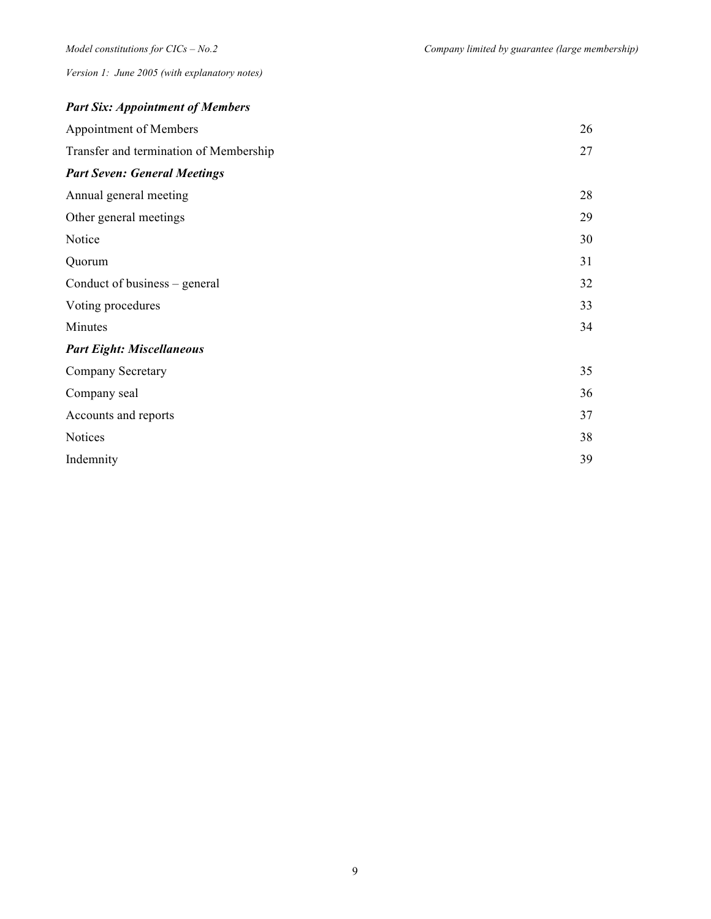| <b>Part Six: Appointment of Members</b> |    |
|-----------------------------------------|----|
| Appointment of Members                  | 26 |
| Transfer and termination of Membership  | 27 |
| <b>Part Seven: General Meetings</b>     |    |
| Annual general meeting                  | 28 |
| Other general meetings                  | 29 |
| Notice                                  | 30 |
| Quorum                                  | 31 |
| Conduct of business – general           | 32 |
| Voting procedures                       | 33 |
| Minutes                                 | 34 |
| <b>Part Eight: Miscellaneous</b>        |    |
| Company Secretary                       | 35 |
| Company seal                            | 36 |
| Accounts and reports                    | 37 |
| Notices                                 | 38 |
| Indemnity                               | 39 |
|                                         |    |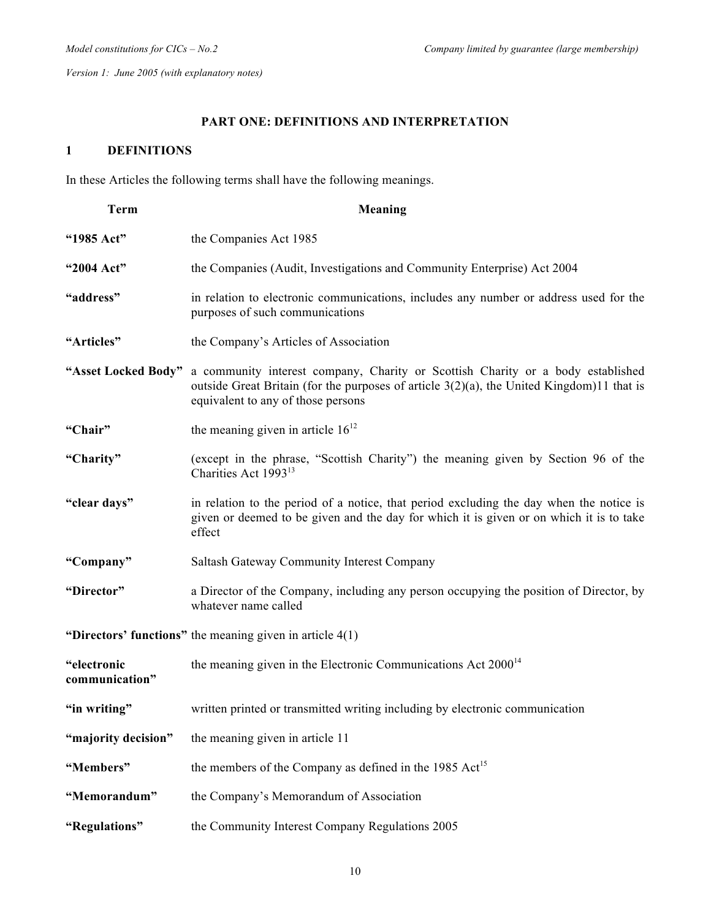# **PART ONE: DEFINITIONS AND INTERPRETATION**

## **1 DEFINITIONS**

In these Articles the following terms shall have the following meanings.

| <b>Term</b>                   | Meaning                                                                                                                                                                                                               |  |
|-------------------------------|-----------------------------------------------------------------------------------------------------------------------------------------------------------------------------------------------------------------------|--|
| "1985 Act"                    | the Companies Act 1985                                                                                                                                                                                                |  |
| "2004 Act"                    | the Companies (Audit, Investigations and Community Enterprise) Act 2004                                                                                                                                               |  |
| "address"                     | in relation to electronic communications, includes any number or address used for the<br>purposes of such communications                                                                                              |  |
| "Articles"                    | the Company's Articles of Association                                                                                                                                                                                 |  |
| "Asset Locked Body"           | a community interest company, Charity or Scottish Charity or a body established<br>outside Great Britain (for the purposes of article $3(2)(a)$ , the United Kingdom)11 that is<br>equivalent to any of those persons |  |
| "Chair"                       | the meaning given in article $16^{12}$                                                                                                                                                                                |  |
| "Charity"                     | (except in the phrase, "Scottish Charity") the meaning given by Section 96 of the<br>Charities Act 1993 <sup>13</sup>                                                                                                 |  |
| "clear days"                  | in relation to the period of a notice, that period excluding the day when the notice is<br>given or deemed to be given and the day for which it is given or on which it is to take<br>effect                          |  |
| "Company"                     | Saltash Gateway Community Interest Company                                                                                                                                                                            |  |
| "Director"                    | a Director of the Company, including any person occupying the position of Director, by<br>whatever name called                                                                                                        |  |
|                               | "Directors' functions" the meaning given in article $4(1)$                                                                                                                                                            |  |
| "electronic<br>communication" | the meaning given in the Electronic Communications Act $2000^{14}$                                                                                                                                                    |  |
| "in writing"                  | written printed or transmitted writing including by electronic communication                                                                                                                                          |  |
| "majority decision"           | the meaning given in article 11                                                                                                                                                                                       |  |
| "Members"                     | the members of the Company as defined in the 1985 Act <sup>15</sup>                                                                                                                                                   |  |
| "Memorandum"                  | the Company's Memorandum of Association                                                                                                                                                                               |  |
| "Regulations"                 | the Community Interest Company Regulations 2005                                                                                                                                                                       |  |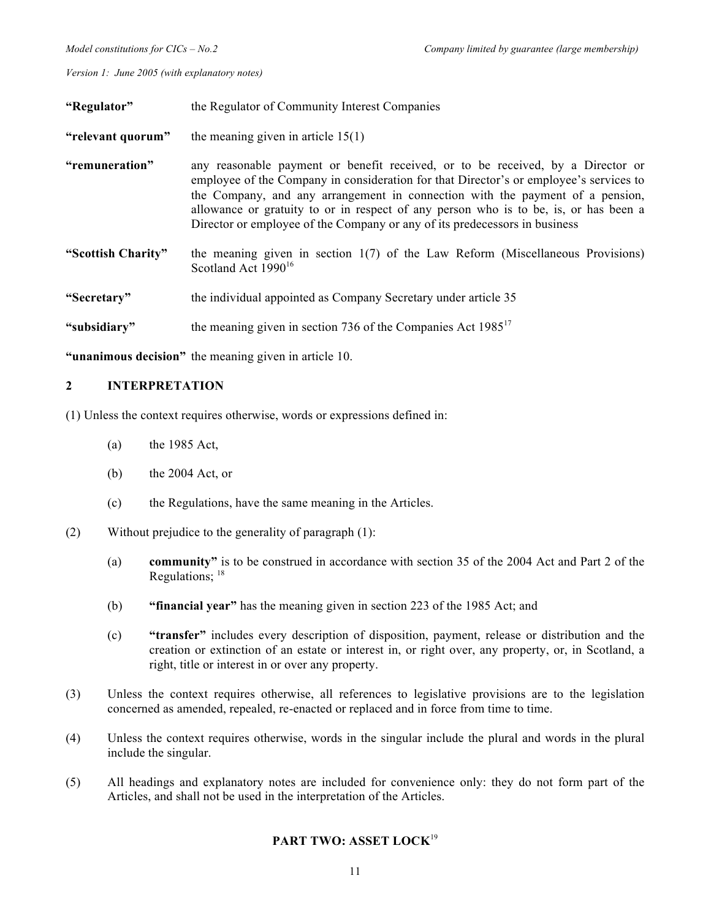| "Regulator"        | the Regulator of Community Interest Companies                                                                                                                                                                                                                                                                                                                                                                                    |  |  |
|--------------------|----------------------------------------------------------------------------------------------------------------------------------------------------------------------------------------------------------------------------------------------------------------------------------------------------------------------------------------------------------------------------------------------------------------------------------|--|--|
| "relevant quorum"  | the meaning given in article $15(1)$                                                                                                                                                                                                                                                                                                                                                                                             |  |  |
| "remuneration"     | any reasonable payment or benefit received, or to be received, by a Director or<br>employee of the Company in consideration for that Director's or employee's services to<br>the Company, and any arrangement in connection with the payment of a pension,<br>allowance or gratuity to or in respect of any person who is to be, is, or has been a<br>Director or employee of the Company or any of its predecessors in business |  |  |
| "Scottish Charity" | the meaning given in section $1(7)$ of the Law Reform (Miscellaneous Provisions)<br>Scotland Act 1990 <sup>16</sup>                                                                                                                                                                                                                                                                                                              |  |  |
| "Secretary"        | the individual appointed as Company Secretary under article 35                                                                                                                                                                                                                                                                                                                                                                   |  |  |
| "subsidiary"       | the meaning given in section 736 of the Companies Act $1985^{17}$                                                                                                                                                                                                                                                                                                                                                                |  |  |

**"unanimous decision"** the meaning given in article 10.

## **2 INTERPRETATION**

(1) Unless the context requires otherwise, words or expressions defined in:

- (a) the 1985 Act,
- (b) the 2004 Act, or
- (c) the Regulations, have the same meaning in the Articles.
- (2) Without prejudice to the generality of paragraph (1):
	- (a) **community"** is to be construed in accordance with section 35 of the 2004 Act and Part 2 of the Regulations: <sup>18</sup>
	- (b) **"financial year"** has the meaning given in section 223 of the 1985 Act; and
	- (c) **"transfer"** includes every description of disposition, payment, release or distribution and the creation or extinction of an estate or interest in, or right over, any property, or, in Scotland, a right, title or interest in or over any property.
- (3) Unless the context requires otherwise, all references to legislative provisions are to the legislation concerned as amended, repealed, re-enacted or replaced and in force from time to time.
- (4) Unless the context requires otherwise, words in the singular include the plural and words in the plural include the singular.
- (5) All headings and explanatory notes are included for convenience only: they do not form part of the Articles, and shall not be used in the interpretation of the Articles.

## **PART TWO: ASSET LOCK**<sup>19</sup>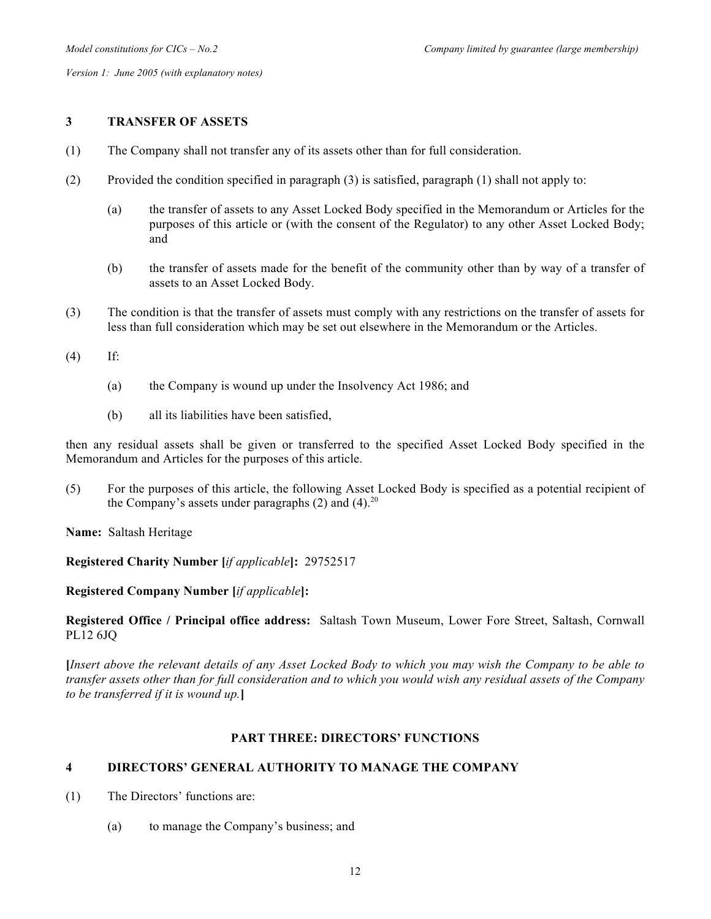## **3 TRANSFER OF ASSETS**

- (1) The Company shall not transfer any of its assets other than for full consideration.
- (2) Provided the condition specified in paragraph (3) is satisfied, paragraph (1) shall not apply to:
	- (a) the transfer of assets to any Asset Locked Body specified in the Memorandum or Articles for the purposes of this article or (with the consent of the Regulator) to any other Asset Locked Body; and
	- (b) the transfer of assets made for the benefit of the community other than by way of a transfer of assets to an Asset Locked Body.
- (3) The condition is that the transfer of assets must comply with any restrictions on the transfer of assets for less than full consideration which may be set out elsewhere in the Memorandum or the Articles.

(4) If:

- (a) the Company is wound up under the Insolvency Act 1986; and
- (b) all its liabilities have been satisfied,

then any residual assets shall be given or transferred to the specified Asset Locked Body specified in the Memorandum and Articles for the purposes of this article.

(5) For the purposes of this article, the following Asset Locked Body is specified as a potential recipient of the Company's assets under paragraphs  $(2)$  and  $(4)$ .<sup>20</sup>

**Name:** Saltash Heritage

**Registered Charity Number [***if applicable***]:** 29752517

## **Registered Company Number [***if applicable***]:**

**Registered Office / Principal office address:** Saltash Town Museum, Lower Fore Street, Saltash, Cornwall PL12 6JQ

**[***Insert above the relevant details of any Asset Locked Body to which you may wish the Company to be able to transfer assets other than for full consideration and to which you would wish any residual assets of the Company to be transferred if it is wound up.***]**

## **PART THREE: DIRECTORS' FUNCTIONS**

## **4 DIRECTORS' GENERAL AUTHORITY TO MANAGE THE COMPANY**

- (1) The Directors' functions are:
	- (a) to manage the Company's business; and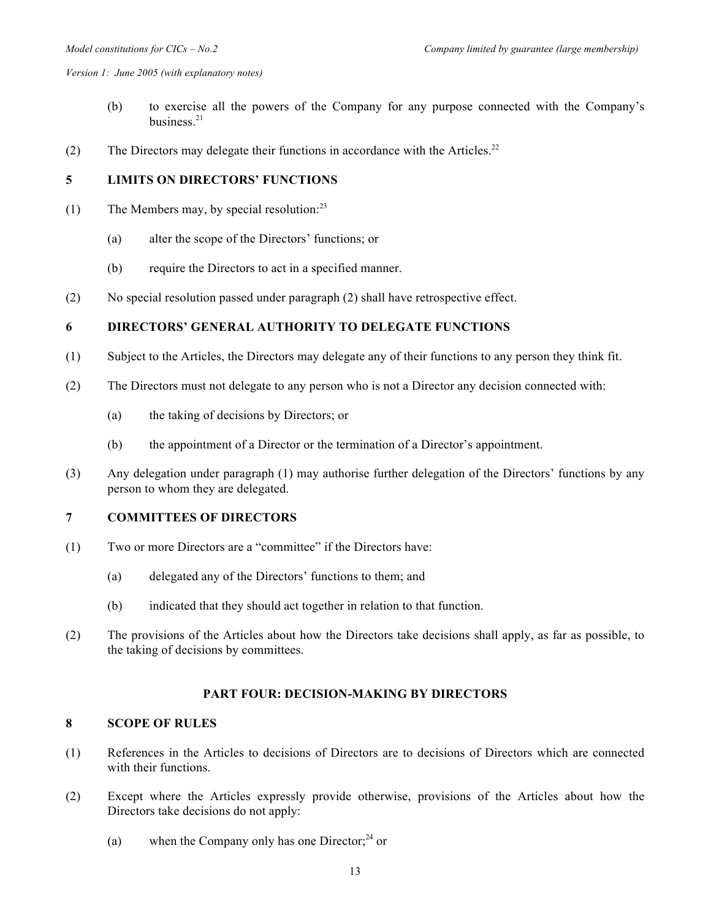- (b) to exercise all the powers of the Company for any purpose connected with the Company's business $^{21}$
- (2) The Directors may delegate their functions in accordance with the Articles.<sup>22</sup>

# **5 LIMITS ON DIRECTORS' FUNCTIONS**

- (1) The Members may, by special resolution: $^{23}$ 
	- (a) alter the scope of the Directors' functions; or
	- (b) require the Directors to act in a specified manner.
- (2) No special resolution passed under paragraph (2) shall have retrospective effect.

# **6 DIRECTORS' GENERAL AUTHORITY TO DELEGATE FUNCTIONS**

- (1) Subject to the Articles, the Directors may delegate any of their functions to any person they think fit.
- (2) The Directors must not delegate to any person who is not a Director any decision connected with:
	- (a) the taking of decisions by Directors; or
	- (b) the appointment of a Director or the termination of a Director's appointment.
- (3) Any delegation under paragraph (1) may authorise further delegation of the Directors' functions by any person to whom they are delegated.

## **7 COMMITTEES OF DIRECTORS**

- (1) Two or more Directors are a "committee" if the Directors have:
	- (a) delegated any of the Directors' functions to them; and
	- (b) indicated that they should act together in relation to that function.
- (2) The provisions of the Articles about how the Directors take decisions shall apply, as far as possible, to the taking of decisions by committees.

## **PART FOUR: DECISION-MAKING BY DIRECTORS**

## **8 SCOPE OF RULES**

- (1) References in the Articles to decisions of Directors are to decisions of Directors which are connected with their functions.
- (2) Except where the Articles expressly provide otherwise, provisions of the Articles about how the Directors take decisions do not apply:
	- (a) when the Company only has one Director; $^{24}$  or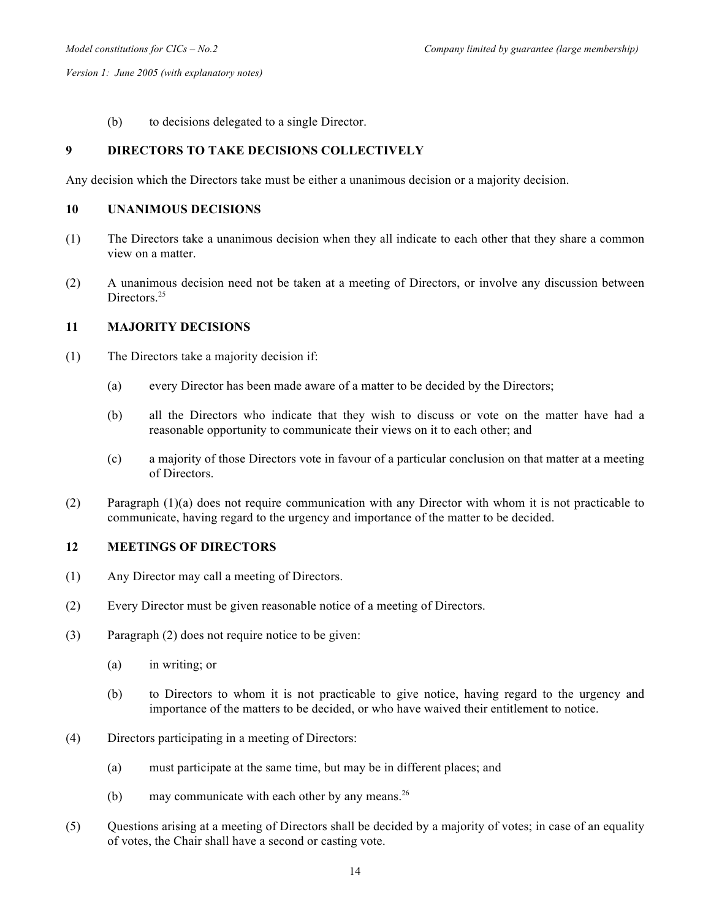(b) to decisions delegated to a single Director.

## **9 DIRECTORS TO TAKE DECISIONS COLLECTIVELY**

Any decision which the Directors take must be either a unanimous decision or a majority decision.

#### **10 UNANIMOUS DECISIONS**

- (1) The Directors take a unanimous decision when they all indicate to each other that they share a common view on a matter.
- (2) A unanimous decision need not be taken at a meeting of Directors, or involve any discussion between Directors<sup>25</sup>

#### **11 MAJORITY DECISIONS**

- (1) The Directors take a majority decision if:
	- (a) every Director has been made aware of a matter to be decided by the Directors;
	- (b) all the Directors who indicate that they wish to discuss or vote on the matter have had a reasonable opportunity to communicate their views on it to each other; and
	- (c) a majority of those Directors vote in favour of a particular conclusion on that matter at a meeting of Directors.
- (2) Paragraph (1)(a) does not require communication with any Director with whom it is not practicable to communicate, having regard to the urgency and importance of the matter to be decided.

#### **12 MEETINGS OF DIRECTORS**

- (1) Any Director may call a meeting of Directors.
- (2) Every Director must be given reasonable notice of a meeting of Directors.
- (3) Paragraph (2) does not require notice to be given:
	- (a) in writing; or
	- (b) to Directors to whom it is not practicable to give notice, having regard to the urgency and importance of the matters to be decided, or who have waived their entitlement to notice.
- (4) Directors participating in a meeting of Directors:
	- (a) must participate at the same time, but may be in different places; and
	- (b) may communicate with each other by any means.<sup>26</sup>
- (5) Questions arising at a meeting of Directors shall be decided by a majority of votes; in case of an equality of votes, the Chair shall have a second or casting vote.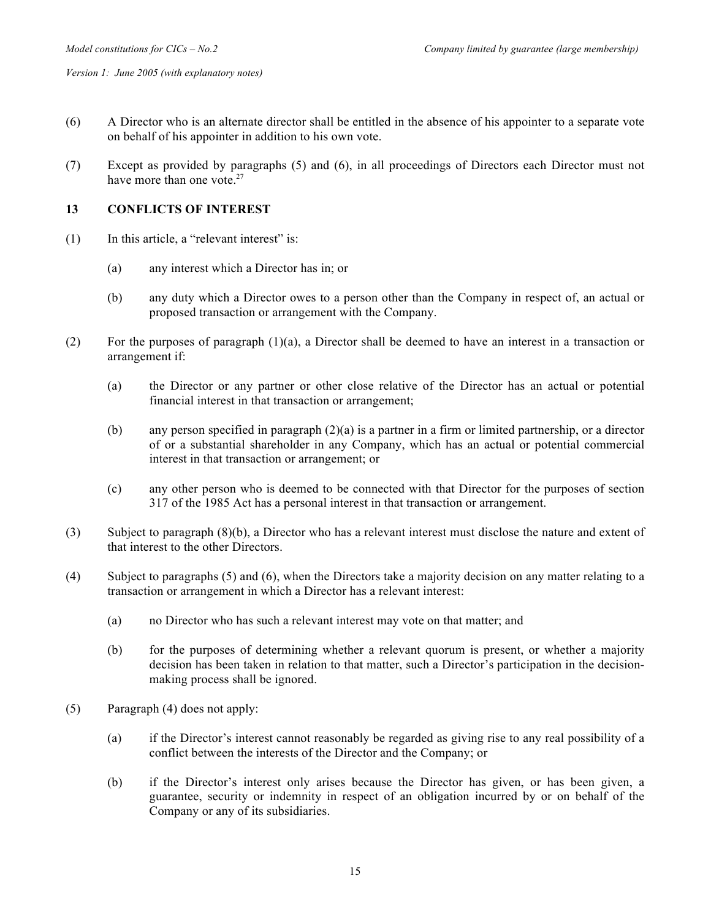- (6) A Director who is an alternate director shall be entitled in the absence of his appointer to a separate vote on behalf of his appointer in addition to his own vote.
- (7) Except as provided by paragraphs (5) and (6), in all proceedings of Directors each Director must not have more than one vote.<sup>27</sup>

## **13 CONFLICTS OF INTEREST**

- (1) In this article, a "relevant interest" is:
	- (a) any interest which a Director has in; or
	- (b) any duty which a Director owes to a person other than the Company in respect of, an actual or proposed transaction or arrangement with the Company.
- (2) For the purposes of paragraph  $(1)(a)$ , a Director shall be deemed to have an interest in a transaction or arrangement if:
	- (a) the Director or any partner or other close relative of the Director has an actual or potential financial interest in that transaction or arrangement;
	- (b) any person specified in paragraph (2)(a) is a partner in a firm or limited partnership, or a director of or a substantial shareholder in any Company, which has an actual or potential commercial interest in that transaction or arrangement; or
	- (c) any other person who is deemed to be connected with that Director for the purposes of section 317 of the 1985 Act has a personal interest in that transaction or arrangement.
- (3) Subject to paragraph (8)(b), a Director who has a relevant interest must disclose the nature and extent of that interest to the other Directors.
- (4) Subject to paragraphs (5) and (6), when the Directors take a majority decision on any matter relating to a transaction or arrangement in which a Director has a relevant interest:
	- (a) no Director who has such a relevant interest may vote on that matter; and
	- (b) for the purposes of determining whether a relevant quorum is present, or whether a majority decision has been taken in relation to that matter, such a Director's participation in the decisionmaking process shall be ignored.
- (5) Paragraph (4) does not apply:
	- (a) if the Director's interest cannot reasonably be regarded as giving rise to any real possibility of a conflict between the interests of the Director and the Company; or
	- (b) if the Director's interest only arises because the Director has given, or has been given, a guarantee, security or indemnity in respect of an obligation incurred by or on behalf of the Company or any of its subsidiaries.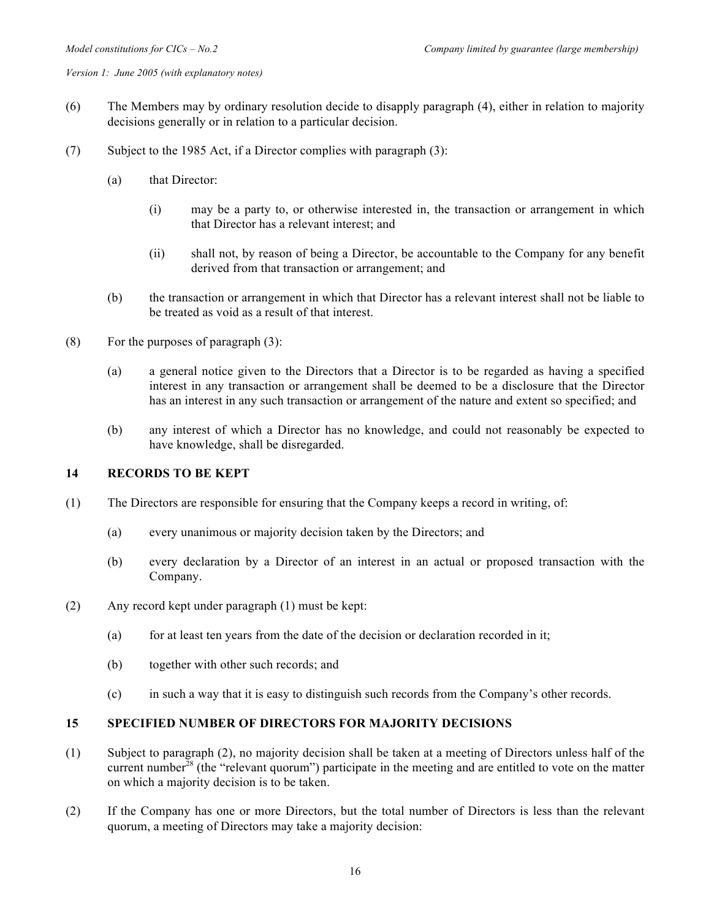- (6) The Members may by ordinary resolution decide to disapply paragraph (4), either in relation to majority decisions generally or in relation to a particular decision.
- (7) Subject to the 1985 Act, if a Director complies with paragraph (3):
	- (a) that Director:
		- (i) may be a party to, or otherwise interested in, the transaction or arrangement in which that Director has a relevant interest; and
		- (ii) shall not, by reason of being a Director, be accountable to the Company for any benefit derived from that transaction or arrangement; and
	- (b) the transaction or arrangement in which that Director has a relevant interest shall not be liable to be treated as void as a result of that interest.
- (8) For the purposes of paragraph  $(3)$ :
	- (a) a general notice given to the Directors that a Director is to be regarded as having a specified interest in any transaction or arrangement shall be deemed to be a disclosure that the Director has an interest in any such transaction or arrangement of the nature and extent so specified; and
	- (b) any interest of which a Director has no knowledge, and could not reasonably be expected to have knowledge, shall be disregarded.

## **14 RECORDS TO BE KEPT**

- (1) The Directors are responsible for ensuring that the Company keeps a record in writing, of:
	- (a) every unanimous or majority decision taken by the Directors; and
	- (b) every declaration by a Director of an interest in an actual or proposed transaction with the Company.
- (2) Any record kept under paragraph (1) must be kept:
	- (a) for at least ten years from the date of the decision or declaration recorded in it;
	- (b) together with other such records; and
	- (c) in such a way that it is easy to distinguish such records from the Company's other records.

#### **15 SPECIFIED NUMBER OF DIRECTORS FOR MAJORITY DECISIONS**

- (1) Subject to paragraph (2), no majority decision shall be taken at a meeting of Directors unless half of the current number<sup>28</sup> (the "relevant quorum") participate in the meeting and are entitled to vote on the matter on which a majority decision is to be taken.
- (2) If the Company has one or more Directors, but the total number of Directors is less than the relevant quorum, a meeting of Directors may take a majority decision: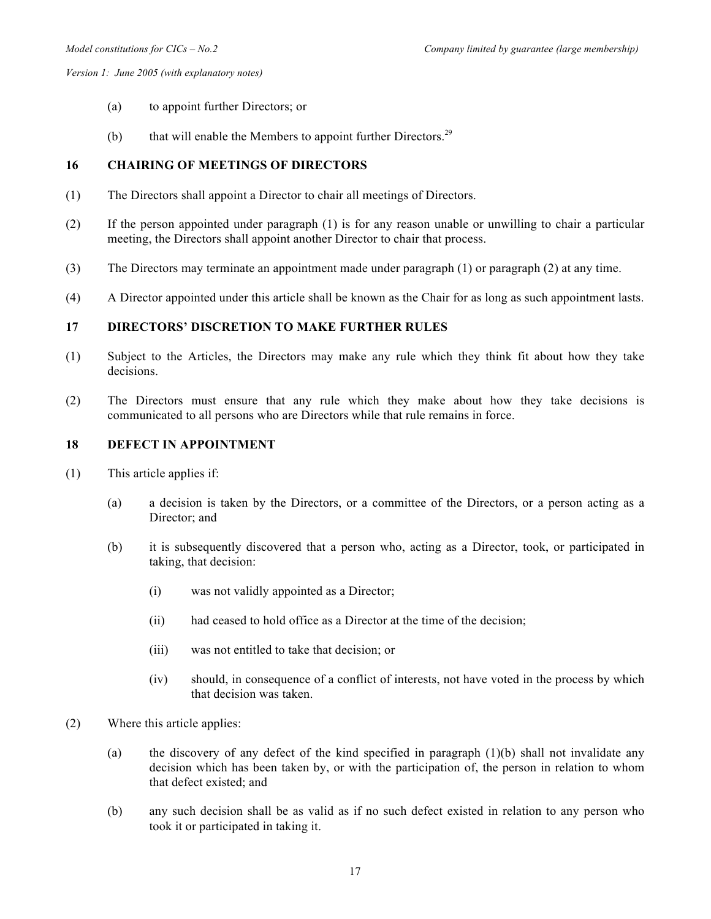- (a) to appoint further Directors; or
- (b) that will enable the Members to appoint further Directors.<sup>29</sup>

## **16 CHAIRING OF MEETINGS OF DIRECTORS**

- (1) The Directors shall appoint a Director to chair all meetings of Directors.
- (2) If the person appointed under paragraph (1) is for any reason unable or unwilling to chair a particular meeting, the Directors shall appoint another Director to chair that process.
- (3) The Directors may terminate an appointment made under paragraph (1) or paragraph (2) at any time.
- (4) A Director appointed under this article shall be known as the Chair for as long as such appointment lasts.

# **17 DIRECTORS' DISCRETION TO MAKE FURTHER RULES**

- (1) Subject to the Articles, the Directors may make any rule which they think fit about how they take decisions.
- (2) The Directors must ensure that any rule which they make about how they take decisions is communicated to all persons who are Directors while that rule remains in force.

### **18 DEFECT IN APPOINTMENT**

- (1) This article applies if:
	- (a) a decision is taken by the Directors, or a committee of the Directors, or a person acting as a Director; and
	- (b) it is subsequently discovered that a person who, acting as a Director, took, or participated in taking, that decision:
		- (i) was not validly appointed as a Director;
		- (ii) had ceased to hold office as a Director at the time of the decision;
		- (iii) was not entitled to take that decision; or
		- (iv) should, in consequence of a conflict of interests, not have voted in the process by which that decision was taken.
- (2) Where this article applies:
	- (a) the discovery of any defect of the kind specified in paragraph  $(1)(b)$  shall not invalidate any decision which has been taken by, or with the participation of, the person in relation to whom that defect existed; and
	- (b) any such decision shall be as valid as if no such defect existed in relation to any person who took it or participated in taking it.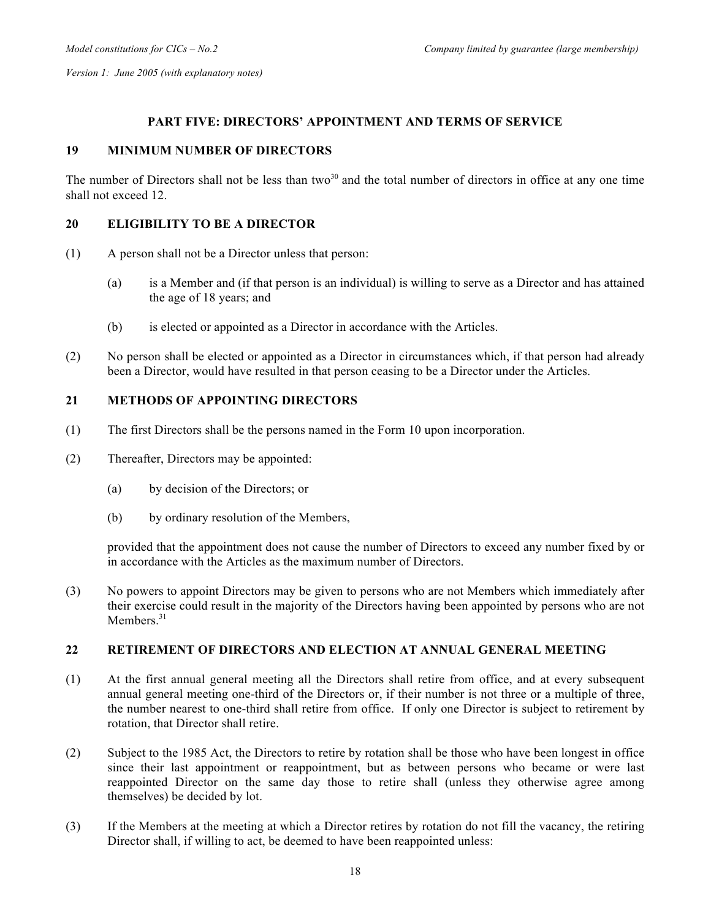## **PART FIVE: DIRECTORS' APPOINTMENT AND TERMS OF SERVICE**

## **19 MINIMUM NUMBER OF DIRECTORS**

The number of Directors shall not be less than two<sup>30</sup> and the total number of directors in office at any one time shall not exceed 12.

## **20 ELIGIBILITY TO BE A DIRECTOR**

- (1) A person shall not be a Director unless that person:
	- (a) is a Member and (if that person is an individual) is willing to serve as a Director and has attained the age of 18 years; and
	- (b) is elected or appointed as a Director in accordance with the Articles.
- (2) No person shall be elected or appointed as a Director in circumstances which, if that person had already been a Director, would have resulted in that person ceasing to be a Director under the Articles.

## **21 METHODS OF APPOINTING DIRECTORS**

- (1) The first Directors shall be the persons named in the Form 10 upon incorporation.
- (2) Thereafter, Directors may be appointed:
	- (a) by decision of the Directors; or
	- (b) by ordinary resolution of the Members,

provided that the appointment does not cause the number of Directors to exceed any number fixed by or in accordance with the Articles as the maximum number of Directors.

(3) No powers to appoint Directors may be given to persons who are not Members which immediately after their exercise could result in the majority of the Directors having been appointed by persons who are not Members<sup>31</sup>

#### **22 RETIREMENT OF DIRECTORS AND ELECTION AT ANNUAL GENERAL MEETING**

- (1) At the first annual general meeting all the Directors shall retire from office, and at every subsequent annual general meeting one-third of the Directors or, if their number is not three or a multiple of three, the number nearest to one-third shall retire from office. If only one Director is subject to retirement by rotation, that Director shall retire.
- (2) Subject to the 1985 Act, the Directors to retire by rotation shall be those who have been longest in office since their last appointment or reappointment, but as between persons who became or were last reappointed Director on the same day those to retire shall (unless they otherwise agree among themselves) be decided by lot.
- (3) If the Members at the meeting at which a Director retires by rotation do not fill the vacancy, the retiring Director shall, if willing to act, be deemed to have been reappointed unless: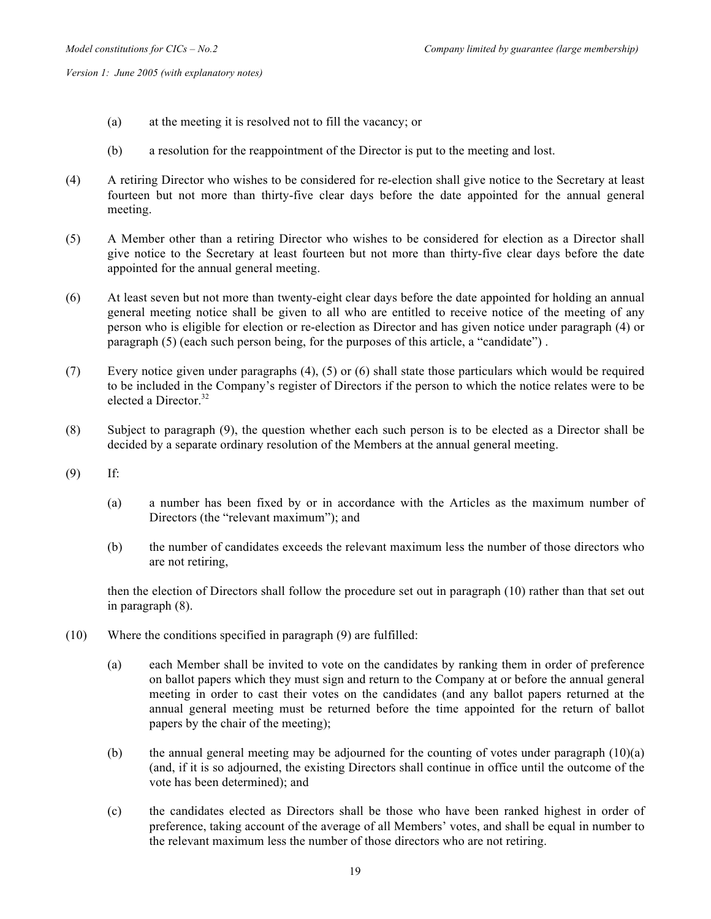- (a) at the meeting it is resolved not to fill the vacancy; or
- (b) a resolution for the reappointment of the Director is put to the meeting and lost.
- (4) A retiring Director who wishes to be considered for re-election shall give notice to the Secretary at least fourteen but not more than thirty-five clear days before the date appointed for the annual general meeting.
- (5) A Member other than a retiring Director who wishes to be considered for election as a Director shall give notice to the Secretary at least fourteen but not more than thirty-five clear days before the date appointed for the annual general meeting.
- (6) At least seven but not more than twenty-eight clear days before the date appointed for holding an annual general meeting notice shall be given to all who are entitled to receive notice of the meeting of any person who is eligible for election or re-election as Director and has given notice under paragraph (4) or paragraph (5) (each such person being, for the purposes of this article, a "candidate") .
- (7) Every notice given under paragraphs (4), (5) or (6) shall state those particulars which would be required to be included in the Company's register of Directors if the person to which the notice relates were to be elected a Director.<sup>32</sup>
- (8) Subject to paragraph (9), the question whether each such person is to be elected as a Director shall be decided by a separate ordinary resolution of the Members at the annual general meeting.
- (9) If:
	- (a) a number has been fixed by or in accordance with the Articles as the maximum number of Directors (the "relevant maximum"); and
	- (b) the number of candidates exceeds the relevant maximum less the number of those directors who are not retiring,

then the election of Directors shall follow the procedure set out in paragraph (10) rather than that set out in paragraph (8).

- (10) Where the conditions specified in paragraph (9) are fulfilled:
	- (a) each Member shall be invited to vote on the candidates by ranking them in order of preference on ballot papers which they must sign and return to the Company at or before the annual general meeting in order to cast their votes on the candidates (and any ballot papers returned at the annual general meeting must be returned before the time appointed for the return of ballot papers by the chair of the meeting);
	- (b) the annual general meeting may be adjourned for the counting of votes under paragraph (10)(a) (and, if it is so adjourned, the existing Directors shall continue in office until the outcome of the vote has been determined); and
	- (c) the candidates elected as Directors shall be those who have been ranked highest in order of preference, taking account of the average of all Members' votes, and shall be equal in number to the relevant maximum less the number of those directors who are not retiring.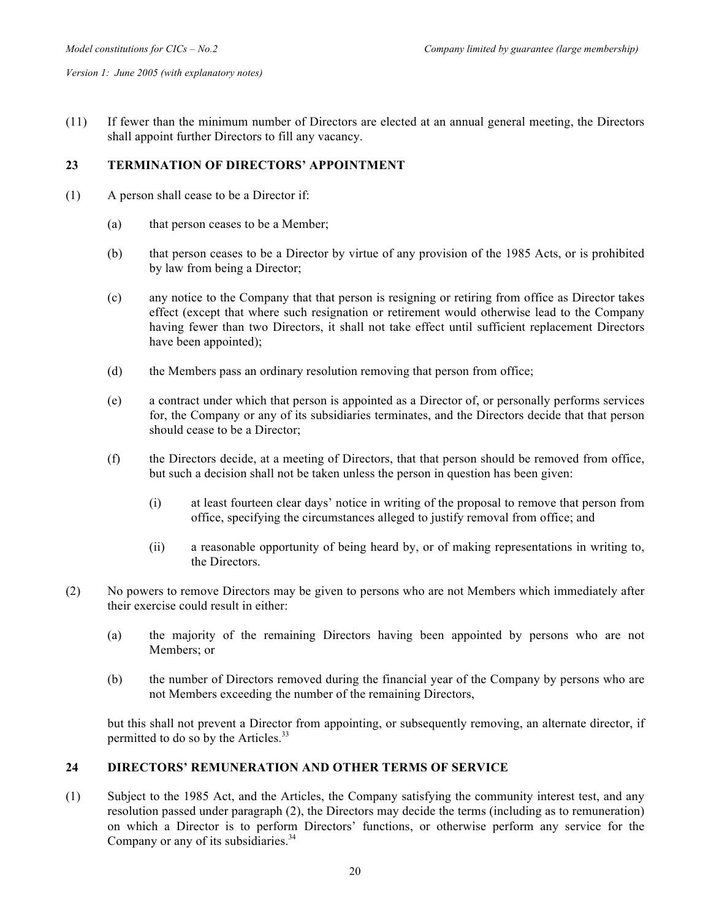(11) If fewer than the minimum number of Directors are elected at an annual general meeting, the Directors shall appoint further Directors to fill any vacancy.

## **23 TERMINATION OF DIRECTORS' APPOINTMENT**

- (1) A person shall cease to be a Director if:
	- (a) that person ceases to be a Member;
	- (b) that person ceases to be a Director by virtue of any provision of the 1985 Acts, or is prohibited by law from being a Director;
	- (c) any notice to the Company that that person is resigning or retiring from office as Director takes effect (except that where such resignation or retirement would otherwise lead to the Company having fewer than two Directors, it shall not take effect until sufficient replacement Directors have been appointed);
	- (d) the Members pass an ordinary resolution removing that person from office;
	- (e) a contract under which that person is appointed as a Director of, or personally performs services for, the Company or any of its subsidiaries terminates, and the Directors decide that that person should cease to be a Director;
	- (f) the Directors decide, at a meeting of Directors, that that person should be removed from office, but such a decision shall not be taken unless the person in question has been given:
		- (i) at least fourteen clear days' notice in writing of the proposal to remove that person from office, specifying the circumstances alleged to justify removal from office; and
		- (ii) a reasonable opportunity of being heard by, or of making representations in writing to, the Directors.
- (2) No powers to remove Directors may be given to persons who are not Members which immediately after their exercise could result in either:
	- (a) the majority of the remaining Directors having been appointed by persons who are not Members; or
	- (b) the number of Directors removed during the financial year of the Company by persons who are not Members exceeding the number of the remaining Directors,

but this shall not prevent a Director from appointing, or subsequently removing, an alternate director, if permitted to do so by the Articles. $33$ 

## **24 DIRECTORS' REMUNERATION AND OTHER TERMS OF SERVICE**

(1) Subject to the 1985 Act, and the Articles, the Company satisfying the community interest test, and any resolution passed under paragraph (2), the Directors may decide the terms (including as to remuneration) on which a Director is to perform Directors' functions, or otherwise perform any service for the Company or any of its subsidiaries. $34$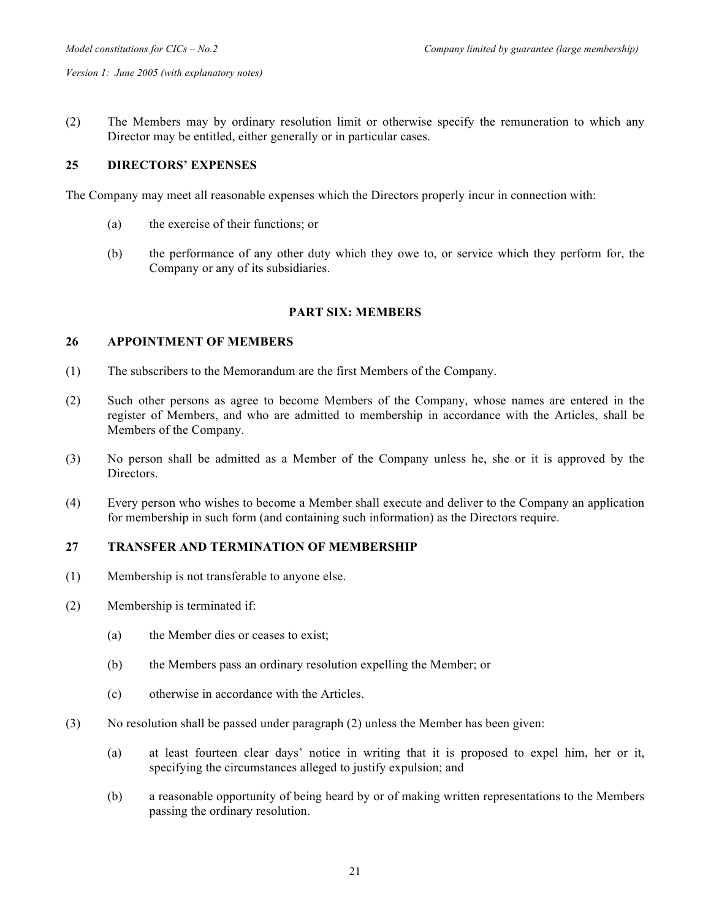(2) The Members may by ordinary resolution limit or otherwise specify the remuneration to which any Director may be entitled, either generally or in particular cases.

## **25 DIRECTORS' EXPENSES**

The Company may meet all reasonable expenses which the Directors properly incur in connection with:

- (a) the exercise of their functions; or
- (b) the performance of any other duty which they owe to, or service which they perform for, the Company or any of its subsidiaries.

## **PART SIX: MEMBERS**

## **26 APPOINTMENT OF MEMBERS**

- (1) The subscribers to the Memorandum are the first Members of the Company.
- (2) Such other persons as agree to become Members of the Company, whose names are entered in the register of Members, and who are admitted to membership in accordance with the Articles, shall be Members of the Company.
- (3) No person shall be admitted as a Member of the Company unless he, she or it is approved by the Directors.
- (4) Every person who wishes to become a Member shall execute and deliver to the Company an application for membership in such form (and containing such information) as the Directors require.

## **27 TRANSFER AND TERMINATION OF MEMBERSHIP**

- (1) Membership is not transferable to anyone else.
- (2) Membership is terminated if:
	- (a) the Member dies or ceases to exist;
	- (b) the Members pass an ordinary resolution expelling the Member; or
	- (c) otherwise in accordance with the Articles.
- (3) No resolution shall be passed under paragraph (2) unless the Member has been given:
	- (a) at least fourteen clear days' notice in writing that it is proposed to expel him, her or it, specifying the circumstances alleged to justify expulsion; and
	- (b) a reasonable opportunity of being heard by or of making written representations to the Members passing the ordinary resolution.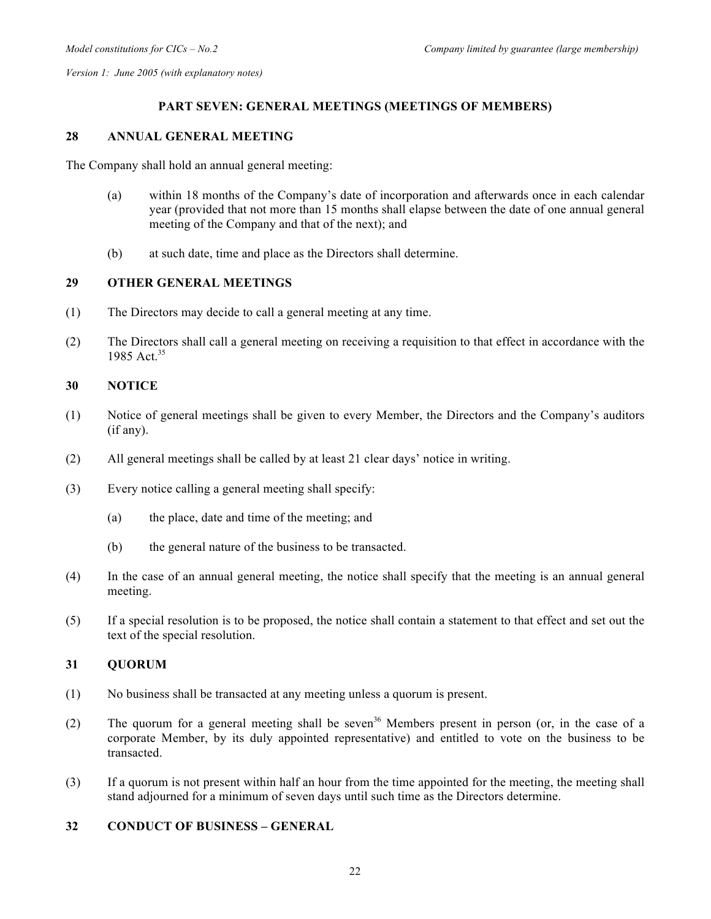## **PART SEVEN: GENERAL MEETINGS (MEETINGS OF MEMBERS)**

### **28 ANNUAL GENERAL MEETING**

The Company shall hold an annual general meeting:

- (a) within 18 months of the Company's date of incorporation and afterwards once in each calendar year (provided that not more than 15 months shall elapse between the date of one annual general meeting of the Company and that of the next); and
- (b) at such date, time and place as the Directors shall determine.

## **29 OTHER GENERAL MEETINGS**

- (1) The Directors may decide to call a general meeting at any time.
- (2) The Directors shall call a general meeting on receiving a requisition to that effect in accordance with the 1985 Act.<sup>35</sup>

## **30 NOTICE**

- (1) Notice of general meetings shall be given to every Member, the Directors and the Company's auditors (if any).
- (2) All general meetings shall be called by at least 21 clear days' notice in writing.
- (3) Every notice calling a general meeting shall specify:
	- (a) the place, date and time of the meeting; and
	- (b) the general nature of the business to be transacted.
- (4) In the case of an annual general meeting, the notice shall specify that the meeting is an annual general meeting.
- (5) If a special resolution is to be proposed, the notice shall contain a statement to that effect and set out the text of the special resolution.

# **31 QUORUM**

- (1) No business shall be transacted at any meeting unless a quorum is present.
- (2) The quorum for a general meeting shall be seven<sup>36</sup> Members present in person (or, in the case of a corporate Member, by its duly appointed representative) and entitled to vote on the business to be transacted.
- (3) If a quorum is not present within half an hour from the time appointed for the meeting, the meeting shall stand adjourned for a minimum of seven days until such time as the Directors determine.

## **32 CONDUCT OF BUSINESS – GENERAL**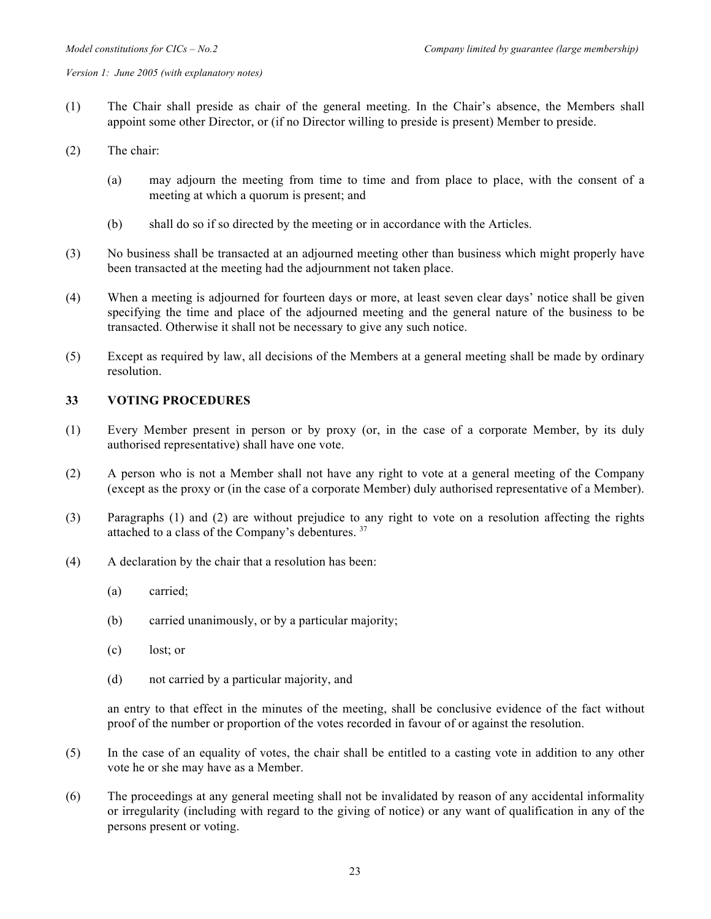- (1) The Chair shall preside as chair of the general meeting. In the Chair's absence, the Members shall appoint some other Director, or (if no Director willing to preside is present) Member to preside.
- (2) The chair:
	- (a) may adjourn the meeting from time to time and from place to place, with the consent of a meeting at which a quorum is present; and
	- (b) shall do so if so directed by the meeting or in accordance with the Articles.
- (3) No business shall be transacted at an adjourned meeting other than business which might properly have been transacted at the meeting had the adjournment not taken place.
- (4) When a meeting is adjourned for fourteen days or more, at least seven clear days' notice shall be given specifying the time and place of the adjourned meeting and the general nature of the business to be transacted. Otherwise it shall not be necessary to give any such notice.
- (5) Except as required by law, all decisions of the Members at a general meeting shall be made by ordinary resolution.

### **33 VOTING PROCEDURES**

- (1) Every Member present in person or by proxy (or, in the case of a corporate Member, by its duly authorised representative) shall have one vote.
- (2) A person who is not a Member shall not have any right to vote at a general meeting of the Company (except as the proxy or (in the case of a corporate Member) duly authorised representative of a Member).
- (3) Paragraphs (1) and (2) are without prejudice to any right to vote on a resolution affecting the rights attached to a class of the Company's debentures. <sup>37</sup>
- (4) A declaration by the chair that a resolution has been:
	- (a) carried;
	- (b) carried unanimously, or by a particular majority;
	- (c) lost; or
	- (d) not carried by a particular majority, and

an entry to that effect in the minutes of the meeting, shall be conclusive evidence of the fact without proof of the number or proportion of the votes recorded in favour of or against the resolution.

- (5) In the case of an equality of votes, the chair shall be entitled to a casting vote in addition to any other vote he or she may have as a Member.
- (6) The proceedings at any general meeting shall not be invalidated by reason of any accidental informality or irregularity (including with regard to the giving of notice) or any want of qualification in any of the persons present or voting.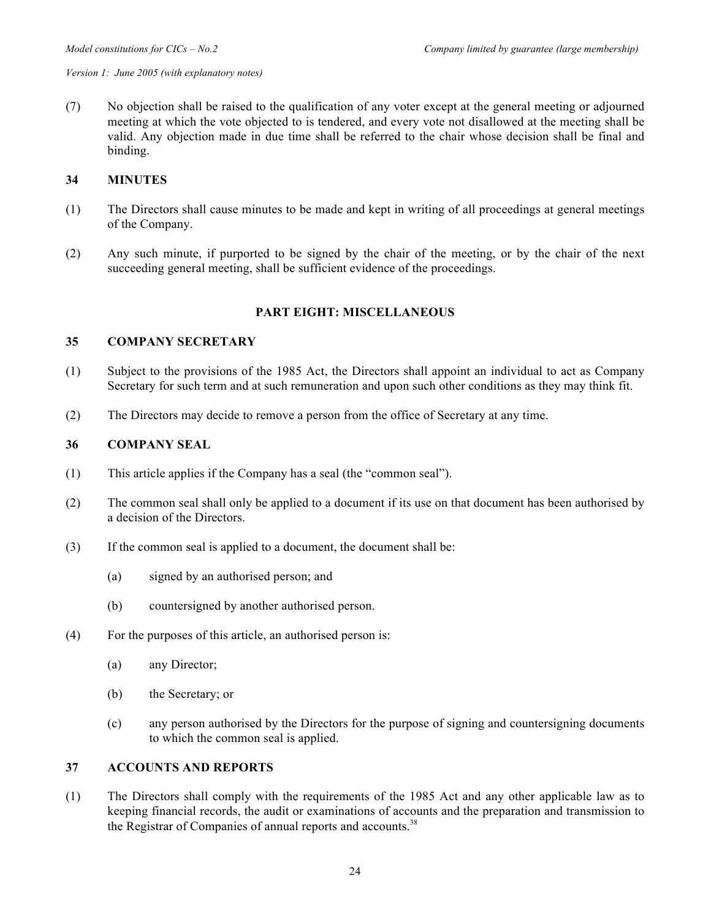(7) No objection shall be raised to the qualification of any voter except at the general meeting or adjourned meeting at which the vote objected to is tendered, and every vote not disallowed at the meeting shall be valid. Any objection made in due time shall be referred to the chair whose decision shall be final and binding.

#### **34 MINUTES**

- (1) The Directors shall cause minutes to be made and kept in writing of all proceedings at general meetings of the Company.
- (2) Any such minute, if purported to be signed by the chair of the meeting, or by the chair of the next succeeding general meeting, shall be sufficient evidence of the proceedings.

## **PART EIGHT: MISCELLANEOUS**

## **35 COMPANY SECRETARY**

- (1) Subject to the provisions of the 1985 Act, the Directors shall appoint an individual to act as Company Secretary for such term and at such remuneration and upon such other conditions as they may think fit.
- (2) The Directors may decide to remove a person from the office of Secretary at any time.

#### **36 COMPANY SEAL**

- (1) This article applies if the Company has a seal (the "common seal").
- (2) The common seal shall only be applied to a document if its use on that document has been authorised by a decision of the Directors.
- (3) If the common seal is applied to a document, the document shall be:
	- (a) signed by an authorised person; and
	- (b) countersigned by another authorised person.
- (4) For the purposes of this article, an authorised person is:
	- (a) any Director;
	- (b) the Secretary; or
	- (c) any person authorised by the Directors for the purpose of signing and countersigning documents to which the common seal is applied.

#### **37 ACCOUNTS AND REPORTS**

(1) The Directors shall comply with the requirements of the 1985 Act and any other applicable law as to keeping financial records, the audit or examinations of accounts and the preparation and transmission to the Registrar of Companies of annual reports and accounts.<sup>38</sup>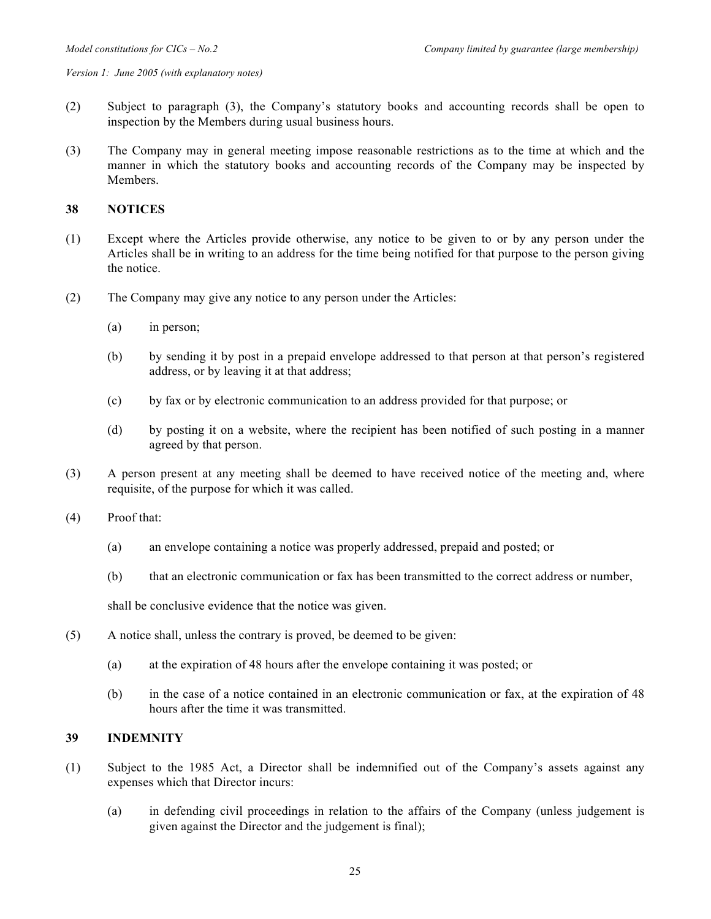- (2) Subject to paragraph (3), the Company's statutory books and accounting records shall be open to inspection by the Members during usual business hours.
- (3) The Company may in general meeting impose reasonable restrictions as to the time at which and the manner in which the statutory books and accounting records of the Company may be inspected by Members.

#### **38 NOTICES**

- (1) Except where the Articles provide otherwise, any notice to be given to or by any person under the Articles shall be in writing to an address for the time being notified for that purpose to the person giving the notice.
- (2) The Company may give any notice to any person under the Articles:
	- (a) in person;
	- (b) by sending it by post in a prepaid envelope addressed to that person at that person's registered address, or by leaving it at that address;
	- (c) by fax or by electronic communication to an address provided for that purpose; or
	- (d) by posting it on a website, where the recipient has been notified of such posting in a manner agreed by that person.
- (3) A person present at any meeting shall be deemed to have received notice of the meeting and, where requisite, of the purpose for which it was called.
- (4) Proof that:
	- (a) an envelope containing a notice was properly addressed, prepaid and posted; or
	- (b) that an electronic communication or fax has been transmitted to the correct address or number,

shall be conclusive evidence that the notice was given.

- (5) A notice shall, unless the contrary is proved, be deemed to be given:
	- (a) at the expiration of 48 hours after the envelope containing it was posted; or
	- (b) in the case of a notice contained in an electronic communication or fax, at the expiration of 48 hours after the time it was transmitted.

#### **39 INDEMNITY**

- (1) Subject to the 1985 Act, a Director shall be indemnified out of the Company's assets against any expenses which that Director incurs:
	- (a) in defending civil proceedings in relation to the affairs of the Company (unless judgement is given against the Director and the judgement is final);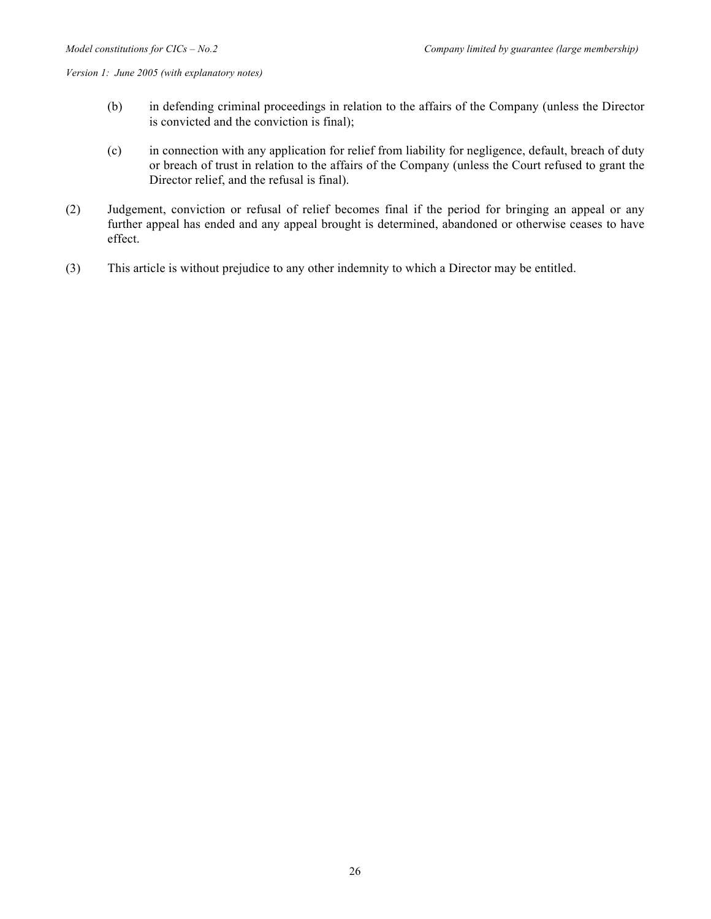- (b) in defending criminal proceedings in relation to the affairs of the Company (unless the Director is convicted and the conviction is final);
- (c) in connection with any application for relief from liability for negligence, default, breach of duty or breach of trust in relation to the affairs of the Company (unless the Court refused to grant the Director relief, and the refusal is final).
- (2) Judgement, conviction or refusal of relief becomes final if the period for bringing an appeal or any further appeal has ended and any appeal brought is determined, abandoned or otherwise ceases to have effect.
- (3) This article is without prejudice to any other indemnity to which a Director may be entitled.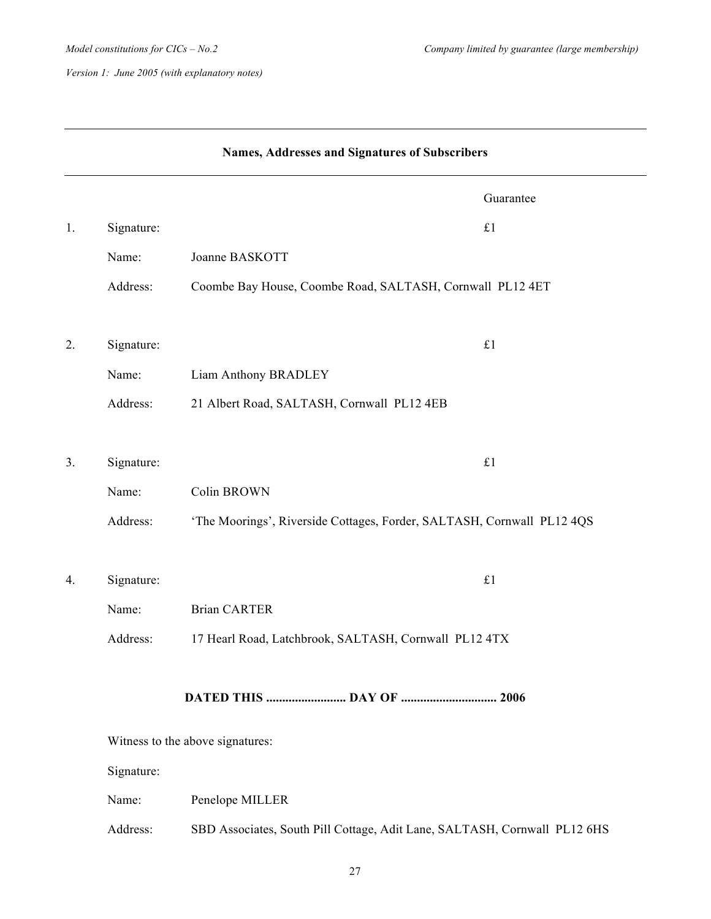|    | Names, Addresses and Signatures of Subscribers |                                                                           |  |
|----|------------------------------------------------|---------------------------------------------------------------------------|--|
|    |                                                | Guarantee                                                                 |  |
| 1. | Signature:                                     | £1                                                                        |  |
|    | Name:                                          | Joanne BASKOTT                                                            |  |
|    | Address:                                       | Coombe Bay House, Coombe Road, SALTASH, Cornwall PL12 4ET                 |  |
| 2. | Signature:                                     | £1                                                                        |  |
|    | Name:                                          | Liam Anthony BRADLEY                                                      |  |
|    | Address:                                       | 21 Albert Road, SALTASH, Cornwall PL12 4EB                                |  |
|    |                                                |                                                                           |  |
| 3. | Signature:                                     | $\pounds 1$                                                               |  |
|    | Name:                                          | Colin BROWN                                                               |  |
|    | Address:                                       | 'The Moorings', Riverside Cottages, Forder, SALTASH, Cornwall PL12 4QS    |  |
| 4. | Signature:                                     | £1                                                                        |  |
|    | Name:                                          | <b>Brian CARTER</b>                                                       |  |
|    | Address:                                       | 17 Hearl Road, Latchbrook, SALTASH, Cornwall PL12 4TX                     |  |
|    |                                                | DATED THIS  DAY OF  2006                                                  |  |
|    |                                                | Witness to the above signatures:                                          |  |
|    | Signature:                                     |                                                                           |  |
|    | Name:                                          | Penelope MILLER                                                           |  |
|    | Address:                                       | SBD Associates, South Pill Cottage, Adit Lane, SALTASH, Cornwall PL12 6HS |  |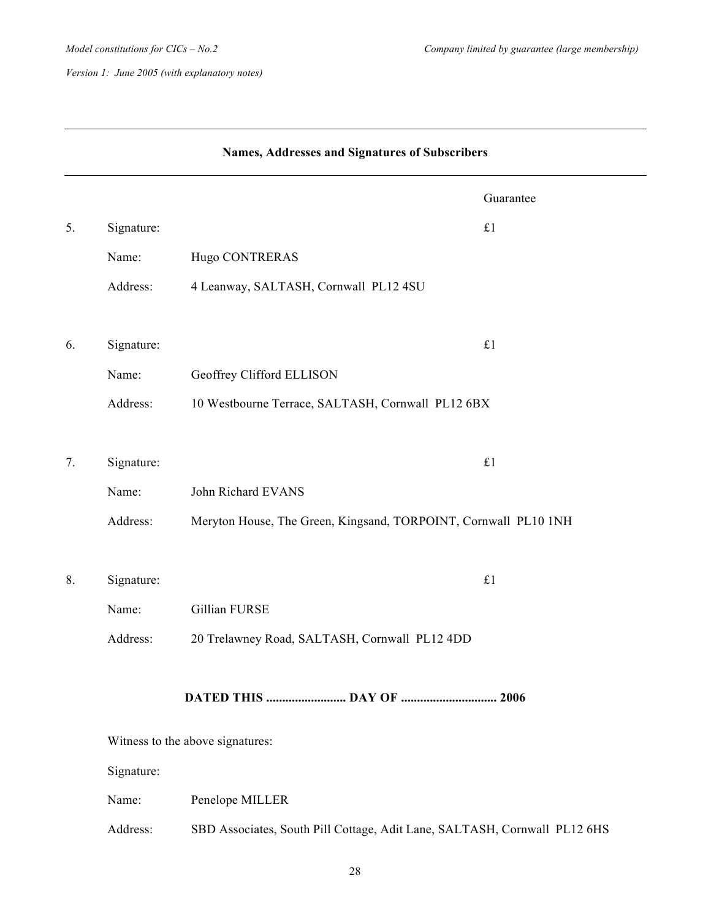|    | Names, Addresses and Signatures of Subscribers |                                                                           |  |  |
|----|------------------------------------------------|---------------------------------------------------------------------------|--|--|
|    |                                                | Guarantee                                                                 |  |  |
| 5. | Signature:                                     | £1                                                                        |  |  |
|    | Name:                                          | Hugo CONTRERAS                                                            |  |  |
|    | Address:                                       | 4 Leanway, SALTASH, Cornwall PL12 4SU                                     |  |  |
| 6. | Signature:                                     | £1                                                                        |  |  |
|    | Name:                                          | Geoffrey Clifford ELLISON                                                 |  |  |
|    | Address:                                       | 10 Westbourne Terrace, SALTASH, Cornwall PL12 6BX                         |  |  |
| 7. | Signature:                                     | £1                                                                        |  |  |
|    | Name:                                          | John Richard EVANS                                                        |  |  |
|    | Address:                                       | Meryton House, The Green, Kingsand, TORPOINT, Cornwall PL10 1NH           |  |  |
| 8. | Signature:                                     | $\pounds 1$                                                               |  |  |
|    | Name:                                          | Gillian FURSE                                                             |  |  |
|    | Address:                                       | 20 Trelawney Road, SALTASH, Cornwall PL12 4DD                             |  |  |
|    |                                                | DATED THIS  DAY OF  2006                                                  |  |  |
|    |                                                | Witness to the above signatures:                                          |  |  |
|    | Signature:                                     |                                                                           |  |  |
|    | Name:                                          | Penelope MILLER                                                           |  |  |
|    | Address:                                       | SBD Associates, South Pill Cottage, Adit Lane, SALTASH, Cornwall PL12 6HS |  |  |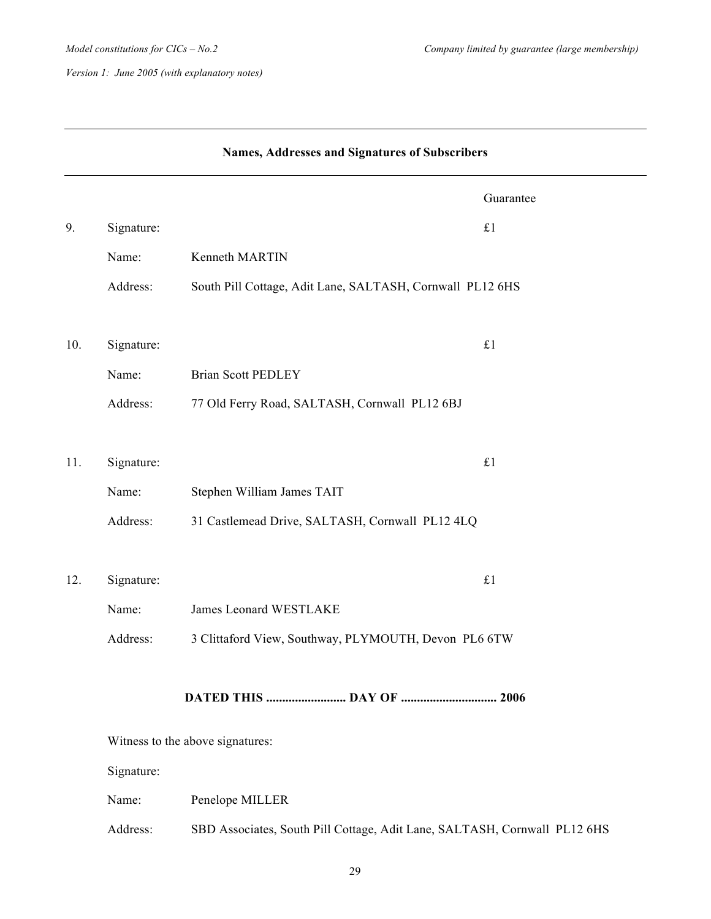|     | Names, Addresses and Signatures of Subscribers |                                                                           |           |
|-----|------------------------------------------------|---------------------------------------------------------------------------|-----------|
|     |                                                |                                                                           | Guarantee |
| 9.  | Signature:                                     | $\pounds 1$                                                               |           |
|     | Name:                                          | Kenneth MARTIN                                                            |           |
|     | Address:                                       | South Pill Cottage, Adit Lane, SALTASH, Cornwall PL12 6HS                 |           |
| 10. | Signature:                                     | £1                                                                        |           |
|     | Name:                                          | <b>Brian Scott PEDLEY</b>                                                 |           |
|     | Address:                                       | 77 Old Ferry Road, SALTASH, Cornwall PL12 6BJ                             |           |
| 11. | Signature:                                     | £1                                                                        |           |
|     | Name:                                          | Stephen William James TAIT                                                |           |
|     | Address:                                       | 31 Castlemead Drive, SALTASH, Cornwall PL12 4LQ                           |           |
| 12. | Signature:                                     | $\pounds 1$                                                               |           |
|     | Name:                                          | James Leonard WESTLAKE                                                    |           |
|     | Address:                                       | 3 Clittaford View, Southway, PLYMOUTH, Devon PL6 6TW                      |           |
|     |                                                |                                                                           |           |
|     |                                                | Witness to the above signatures:                                          |           |
|     | Signature:                                     |                                                                           |           |
|     | Name:                                          | Penelope MILLER                                                           |           |
|     | Address:                                       | SBD Associates, South Pill Cottage, Adit Lane, SALTASH, Cornwall PL12 6HS |           |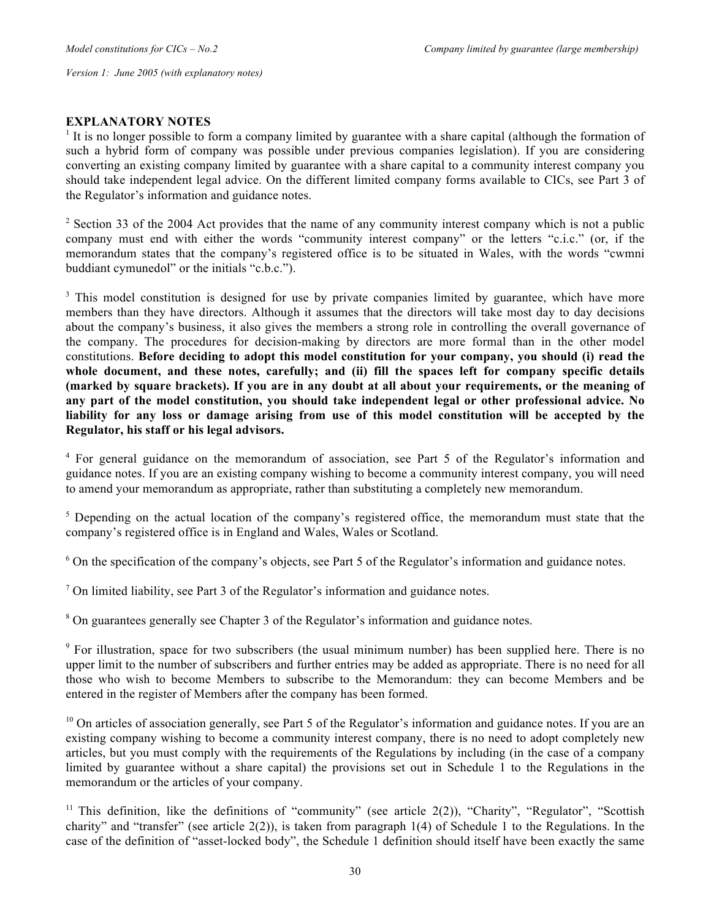## **EXPLANATORY NOTES**

<sup>1</sup> It is no longer possible to form a company limited by guarantee with a share capital (although the formation of such a hybrid form of company was possible under previous companies legislation). If you are considering converting an existing company limited by guarantee with a share capital to a community interest company you should take independent legal advice. On the different limited company forms available to CICs, see Part 3 of the Regulator's information and guidance notes.

<sup>2</sup> Section 33 of the 2004 Act provides that the name of any community interest company which is not a public company must end with either the words "community interest company" or the letters "c.i.c." (or, if the memorandum states that the company's registered office is to be situated in Wales, with the words "cwmni buddiant cymunedol" or the initials "c.b.c.").

<sup>3</sup> This model constitution is designed for use by private companies limited by guarantee, which have more members than they have directors. Although it assumes that the directors will take most day to day decisions about the company's business, it also gives the members a strong role in controlling the overall governance of the company. The procedures for decision-making by directors are more formal than in the other model constitutions. **Before deciding to adopt this model constitution for your company, you should (i) read the whole document, and these notes, carefully; and (ii) fill the spaces left for company specific details (marked by square brackets). If you are in any doubt at all about your requirements, or the meaning of any part of the model constitution, you should take independent legal or other professional advice. No liability for any loss or damage arising from use of this model constitution will be accepted by the Regulator, his staff or his legal advisors.**

<sup>4</sup> For general guidance on the memorandum of association, see Part 5 of the Regulator's information and guidance notes. If you are an existing company wishing to become a community interest company, you will need to amend your memorandum as appropriate, rather than substituting a completely new memorandum.

<sup>5</sup> Depending on the actual location of the company's registered office, the memorandum must state that the company's registered office is in England and Wales, Wales or Scotland.

<sup>6</sup> On the specification of the company's objects, see Part 5 of the Regulator's information and guidance notes.

 $<sup>7</sup>$  On limited liability, see Part 3 of the Regulator's information and guidance notes.</sup>

<sup>8</sup> On guarantees generally see Chapter 3 of the Regulator's information and guidance notes.

<sup>9</sup> For illustration, space for two subscribers (the usual minimum number) has been supplied here. There is no upper limit to the number of subscribers and further entries may be added as appropriate. There is no need for all those who wish to become Members to subscribe to the Memorandum: they can become Members and be entered in the register of Members after the company has been formed.

 $10$  On articles of association generally, see Part 5 of the Regulator's information and guidance notes. If you are an existing company wishing to become a community interest company, there is no need to adopt completely new articles, but you must comply with the requirements of the Regulations by including (in the case of a company limited by guarantee without a share capital) the provisions set out in Schedule 1 to the Regulations in the memorandum or the articles of your company.

<sup>11</sup> This definition, like the definitions of "community" (see article 2(2)), "Charity", "Regulator", "Scottish charity" and "transfer" (see article 2(2)), is taken from paragraph 1(4) of Schedule 1 to the Regulations. In the case of the definition of "asset-locked body", the Schedule 1 definition should itself have been exactly the same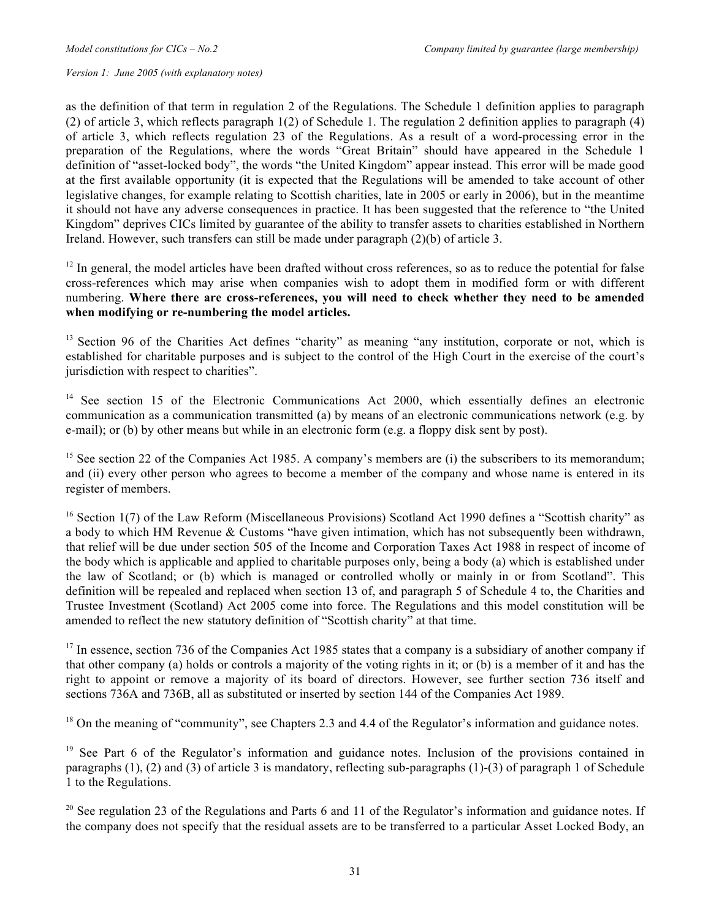as the definition of that term in regulation 2 of the Regulations. The Schedule 1 definition applies to paragraph (2) of article 3, which reflects paragraph 1(2) of Schedule 1. The regulation 2 definition applies to paragraph (4) of article 3, which reflects regulation 23 of the Regulations. As a result of a word-processing error in the preparation of the Regulations, where the words "Great Britain" should have appeared in the Schedule 1 definition of "asset-locked body", the words "the United Kingdom" appear instead. This error will be made good at the first available opportunity (it is expected that the Regulations will be amended to take account of other legislative changes, for example relating to Scottish charities, late in 2005 or early in 2006), but in the meantime it should not have any adverse consequences in practice. It has been suggested that the reference to "the United Kingdom" deprives CICs limited by guarantee of the ability to transfer assets to charities established in Northern Ireland. However, such transfers can still be made under paragraph (2)(b) of article 3.

 $12$  In general, the model articles have been drafted without cross references, so as to reduce the potential for false cross-references which may arise when companies wish to adopt them in modified form or with different numbering. **Where there are cross-references, you will need to check whether they need to be amended when modifying or re-numbering the model articles.**

<sup>13</sup> Section 96 of the Charities Act defines "charity" as meaning "any institution, corporate or not, which is established for charitable purposes and is subject to the control of the High Court in the exercise of the court's jurisdiction with respect to charities".

<sup>14</sup> See section 15 of the Electronic Communications Act 2000, which essentially defines an electronic communication as a communication transmitted (a) by means of an electronic communications network (e.g. by e-mail); or (b) by other means but while in an electronic form (e.g. a floppy disk sent by post).

<sup>15</sup> See section 22 of the Companies Act 1985. A company's members are (i) the subscribers to its memorandum; and (ii) every other person who agrees to become a member of the company and whose name is entered in its register of members.

<sup>16</sup> Section 1(7) of the Law Reform (Miscellaneous Provisions) Scotland Act 1990 defines a "Scottish charity" as a body to which HM Revenue & Customs "have given intimation, which has not subsequently been withdrawn, that relief will be due under section 505 of the Income and Corporation Taxes Act 1988 in respect of income of the body which is applicable and applied to charitable purposes only, being a body (a) which is established under the law of Scotland; or (b) which is managed or controlled wholly or mainly in or from Scotland". This definition will be repealed and replaced when section 13 of, and paragraph 5 of Schedule 4 to, the Charities and Trustee Investment (Scotland) Act 2005 come into force. The Regulations and this model constitution will be amended to reflect the new statutory definition of "Scottish charity" at that time.

<sup>17</sup> In essence, section 736 of the Companies Act 1985 states that a company is a subsidiary of another company if that other company (a) holds or controls a majority of the voting rights in it; or (b) is a member of it and has the right to appoint or remove a majority of its board of directors. However, see further section 736 itself and sections 736A and 736B, all as substituted or inserted by section 144 of the Companies Act 1989.

<sup>18</sup> On the meaning of "community", see Chapters 2.3 and 4.4 of the Regulator's information and guidance notes.

<sup>19</sup> See Part 6 of the Regulator's information and guidance notes. Inclusion of the provisions contained in paragraphs (1), (2) and (3) of article 3 is mandatory, reflecting sub-paragraphs (1)-(3) of paragraph 1 of Schedule 1 to the Regulations.

<sup>20</sup> See regulation 23 of the Regulations and Parts 6 and 11 of the Regulator's information and guidance notes. If the company does not specify that the residual assets are to be transferred to a particular Asset Locked Body, an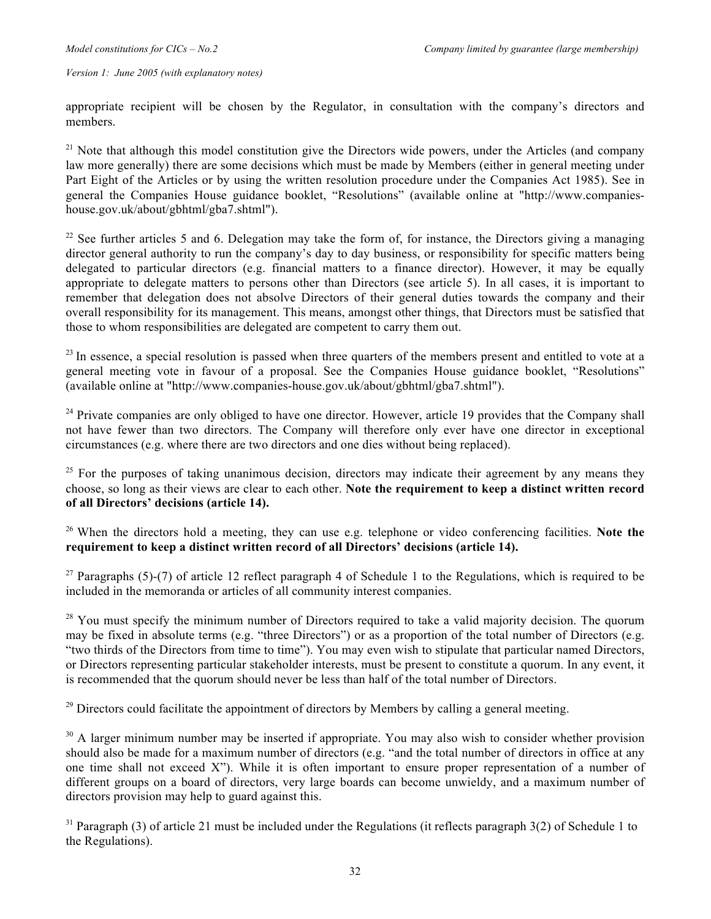appropriate recipient will be chosen by the Regulator, in consultation with the company's directors and members.

<sup>21</sup> Note that although this model constitution give the Directors wide powers, under the Articles (and company law more generally) there are some decisions which must be made by Members (either in general meeting under Part Eight of the Articles or by using the written resolution procedure under the Companies Act 1985). See in general the Companies House guidance booklet, "Resolutions" (available online at "http://www.companieshouse.gov.uk/about/gbhtml/gba7.shtml").

 $22$  See further articles 5 and 6. Delegation may take the form of, for instance, the Directors giving a managing director general authority to run the company's day to day business, or responsibility for specific matters being delegated to particular directors (e.g. financial matters to a finance director). However, it may be equally appropriate to delegate matters to persons other than Directors (see article 5). In all cases, it is important to remember that delegation does not absolve Directors of their general duties towards the company and their overall responsibility for its management. This means, amongst other things, that Directors must be satisfied that those to whom responsibilities are delegated are competent to carry them out.

 $^{23}$  In essence, a special resolution is passed when three quarters of the members present and entitled to vote at a general meeting vote in favour of a proposal. See the Companies House guidance booklet, "Resolutions" (available online at "http://www.companies-house.gov.uk/about/gbhtml/gba7.shtml").

<sup>24</sup> Private companies are only obliged to have one director. However, article 19 provides that the Company shall not have fewer than two directors. The Company will therefore only ever have one director in exceptional circumstances (e.g. where there are two directors and one dies without being replaced).

 $25$  For the purposes of taking unanimous decision, directors may indicate their agreement by any means they choose, so long as their views are clear to each other. **Note the requirement to keep a distinct written record of all Directors' decisions (article 14).**

26 When the directors hold a meeting, they can use e.g. telephone or video conferencing facilities. **Note the requirement to keep a distinct written record of all Directors' decisions (article 14).**

<sup>27</sup> Paragraphs (5)-(7) of article 12 reflect paragraph 4 of Schedule 1 to the Regulations, which is required to be included in the memoranda or articles of all community interest companies.

<sup>28</sup> You must specify the minimum number of Directors required to take a valid majority decision. The quorum may be fixed in absolute terms (e.g. "three Directors") or as a proportion of the total number of Directors (e.g. "two thirds of the Directors from time to time"). You may even wish to stipulate that particular named Directors, or Directors representing particular stakeholder interests, must be present to constitute a quorum. In any event, it is recommended that the quorum should never be less than half of the total number of Directors.

<sup>29</sup> Directors could facilitate the appointment of directors by Members by calling a general meeting.

 $30$  A larger minimum number may be inserted if appropriate. You may also wish to consider whether provision should also be made for a maximum number of directors (e.g. "and the total number of directors in office at any one time shall not exceed  $X$ "). While it is often important to ensure proper representation of a number of different groups on a board of directors, very large boards can become unwieldy, and a maximum number of directors provision may help to guard against this.

 $31$  Paragraph (3) of article 21 must be included under the Regulations (it reflects paragraph 3(2) of Schedule 1 to the Regulations).